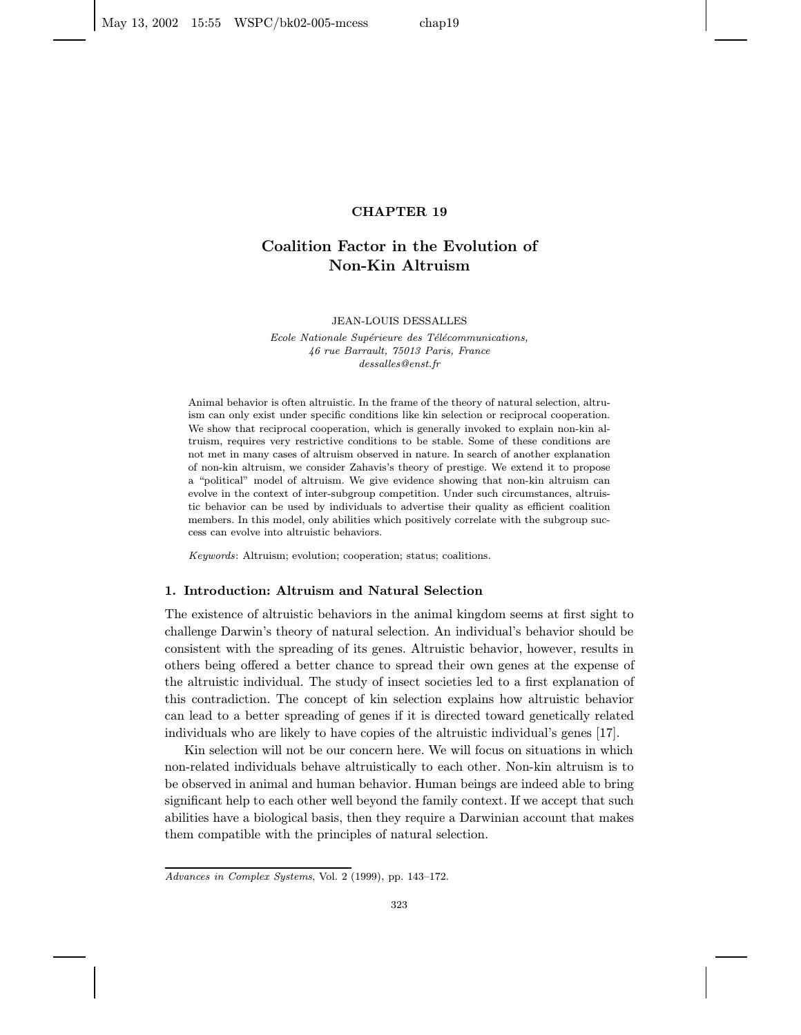## CHAPTER 19

# Coalition Factor in the Evolution of Non-Kin Altruism

### JEAN-LOUIS DESSALLES

Ecole Nationale Supérieure des Télécommunications, 46 rue Barrault, 75013 Paris, France dessalles@enst.fr

Animal behavior is often altruistic. In the frame of the theory of natural selection, altruism can only exist under specific conditions like kin selection or reciprocal cooperation. We show that reciprocal cooperation, which is generally invoked to explain non-kin altruism, requires very restrictive conditions to be stable. Some of these conditions are not met in many cases of altruism observed in nature. In search of another explanation of non-kin altruism, we consider Zahavis's theory of prestige. We extend it to propose a "political" model of altruism. We give evidence showing that non-kin altruism can evolve in the context of inter-subgroup competition. Under such circumstances, altruistic behavior can be used by individuals to advertise their quality as efficient coalition members. In this model, only abilities which positively correlate with the subgroup success can evolve into altruistic behaviors.

Keywords: Altruism; evolution; cooperation; status; coalitions.

## 1. Introduction: Altruism and Natural Selection

The existence of altruistic behaviors in the animal kingdom seems at first sight to challenge Darwin's theory of natural selection. An individual's behavior should be consistent with the spreading of its genes. Altruistic behavior, however, results in others being offered a better chance to spread their own genes at the expense of the altruistic individual. The study of insect societies led to a first explanation of this contradiction. The concept of kin selection explains how altruistic behavior can lead to a better spreading of genes if it is directed toward genetically related individuals who are likely to have copies of the altruistic individual's genes [17].

Kin selection will not be our concern here. We will focus on situations in which non-related individuals behave altruistically to each other. Non-kin altruism is to be observed in animal and human behavior. Human beings are indeed able to bring significant help to each other well beyond the family context. If we accept that such abilities have a biological basis, then they require a Darwinian account that makes them compatible with the principles of natural selection.

Advances in Complex Systems, Vol. 2 (1999), pp. 143–172.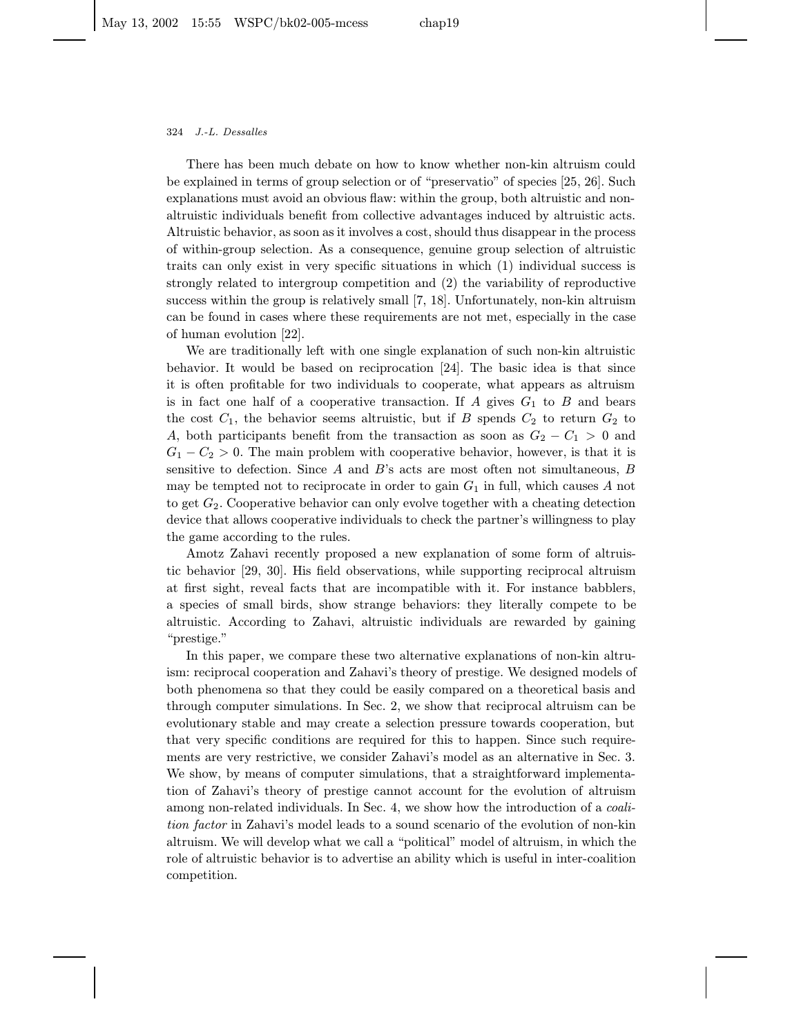There has been much debate on how to know whether non-kin altruism could be explained in terms of group selection or of "preservatio" of species [25, 26]. Such explanations must avoid an obvious flaw: within the group, both altruistic and nonaltruistic individuals benefit from collective advantages induced by altruistic acts. Altruistic behavior, as soon as it involves a cost, should thus disappear in the process of within-group selection. As a consequence, genuine group selection of altruistic traits can only exist in very specific situations in which (1) individual success is strongly related to intergroup competition and (2) the variability of reproductive success within the group is relatively small [7, 18]. Unfortunately, non-kin altruism can be found in cases where these requirements are not met, especially in the case of human evolution [22].

We are traditionally left with one single explanation of such non-kin altruistic behavior. It would be based on reciprocation [24]. The basic idea is that since it is often profitable for two individuals to cooperate, what appears as altruism is in fact one half of a cooperative transaction. If A gives  $G_1$  to B and bears the cost  $C_1$ , the behavior seems altruistic, but if B spends  $C_2$  to return  $G_2$  to A, both participants benefit from the transaction as soon as  $G_2 - C_1 > 0$  and  $G_1 - C_2 > 0$ . The main problem with cooperative behavior, however, is that it is sensitive to defection. Since  $A$  and  $B$ 's acts are most often not simultaneous,  $B$ may be tempted not to reciprocate in order to gain  $G_1$  in full, which causes A not to get  $G_2$ . Cooperative behavior can only evolve together with a cheating detection device that allows cooperative individuals to check the partner's willingness to play the game according to the rules.

Amotz Zahavi recently proposed a new explanation of some form of altruistic behavior [29, 30]. His field observations, while supporting reciprocal altruism at first sight, reveal facts that are incompatible with it. For instance babblers, a species of small birds, show strange behaviors: they literally compete to be altruistic. According to Zahavi, altruistic individuals are rewarded by gaining "prestige."

In this paper, we compare these two alternative explanations of non-kin altruism: reciprocal cooperation and Zahavi's theory of prestige. We designed models of both phenomena so that they could be easily compared on a theoretical basis and through computer simulations. In Sec. 2, we show that reciprocal altruism can be evolutionary stable and may create a selection pressure towards cooperation, but that very specific conditions are required for this to happen. Since such requirements are very restrictive, we consider Zahavi's model as an alternative in Sec. 3. We show, by means of computer simulations, that a straightforward implementation of Zahavi's theory of prestige cannot account for the evolution of altruism among non-related individuals. In Sec. 4, we show how the introduction of a coalition factor in Zahavi's model leads to a sound scenario of the evolution of non-kin altruism. We will develop what we call a "political" model of altruism, in which the role of altruistic behavior is to advertise an ability which is useful in inter-coalition competition.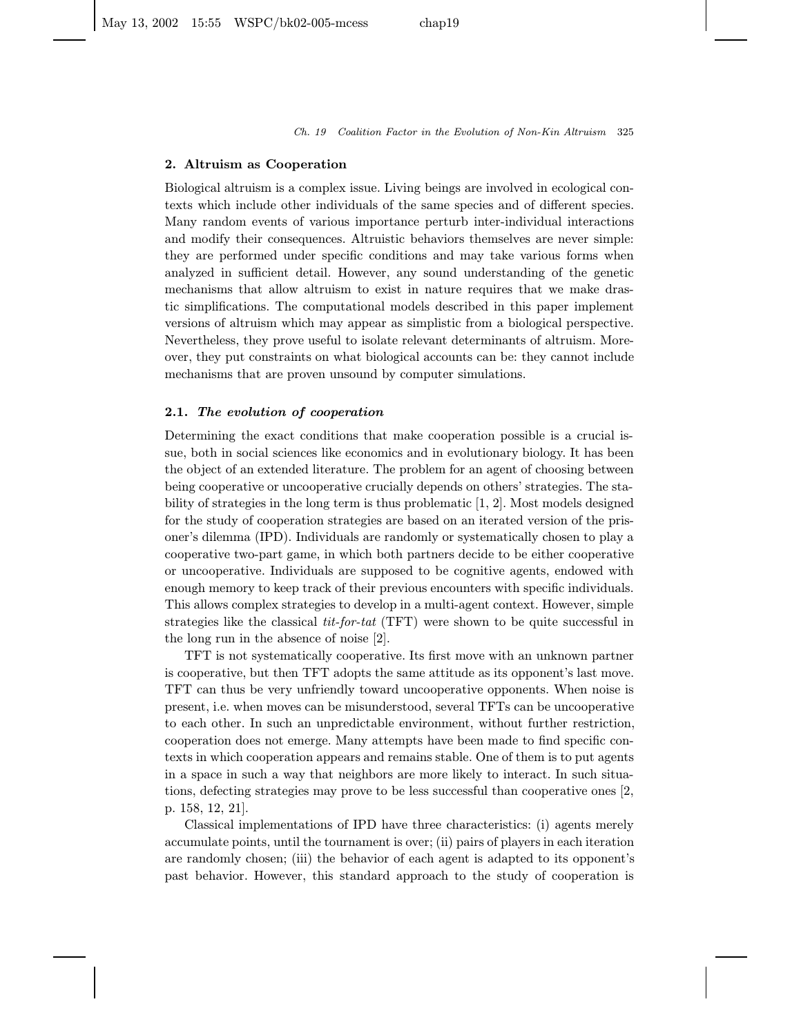## 2. Altruism as Cooperation

Biological altruism is a complex issue. Living beings are involved in ecological contexts which include other individuals of the same species and of different species. Many random events of various importance perturb inter-individual interactions and modify their consequences. Altruistic behaviors themselves are never simple: they are performed under specific conditions and may take various forms when analyzed in sufficient detail. However, any sound understanding of the genetic mechanisms that allow altruism to exist in nature requires that we make drastic simplifications. The computational models described in this paper implement versions of altruism which may appear as simplistic from a biological perspective. Nevertheless, they prove useful to isolate relevant determinants of altruism. Moreover, they put constraints on what biological accounts can be: they cannot include mechanisms that are proven unsound by computer simulations.

## 2.1. The evolution of cooperation

Determining the exact conditions that make cooperation possible is a crucial issue, both in social sciences like economics and in evolutionary biology. It has been the object of an extended literature. The problem for an agent of choosing between being cooperative or uncooperative crucially depends on others' strategies. The stability of strategies in the long term is thus problematic [1, 2]. Most models designed for the study of cooperation strategies are based on an iterated version of the prisoner's dilemma (IPD). Individuals are randomly or systematically chosen to play a cooperative two-part game, in which both partners decide to be either cooperative or uncooperative. Individuals are supposed to be cognitive agents, endowed with enough memory to keep track of their previous encounters with specific individuals. This allows complex strategies to develop in a multi-agent context. However, simple strategies like the classical  $tit-for-tat$  (TFT) were shown to be quite successful in the long run in the absence of noise [2].

TFT is not systematically cooperative. Its first move with an unknown partner is cooperative, but then TFT adopts the same attitude as its opponent's last move. TFT can thus be very unfriendly toward uncooperative opponents. When noise is present, i.e. when moves can be misunderstood, several TFTs can be uncooperative to each other. In such an unpredictable environment, without further restriction, cooperation does not emerge. Many attempts have been made to find specific contexts in which cooperation appears and remains stable. One of them is to put agents in a space in such a way that neighbors are more likely to interact. In such situations, defecting strategies may prove to be less successful than cooperative ones [2, p. 158, 12, 21].

Classical implementations of IPD have three characteristics: (i) agents merely accumulate points, until the tournament is over; (ii) pairs of players in each iteration are randomly chosen; (iii) the behavior of each agent is adapted to its opponent's past behavior. However, this standard approach to the study of cooperation is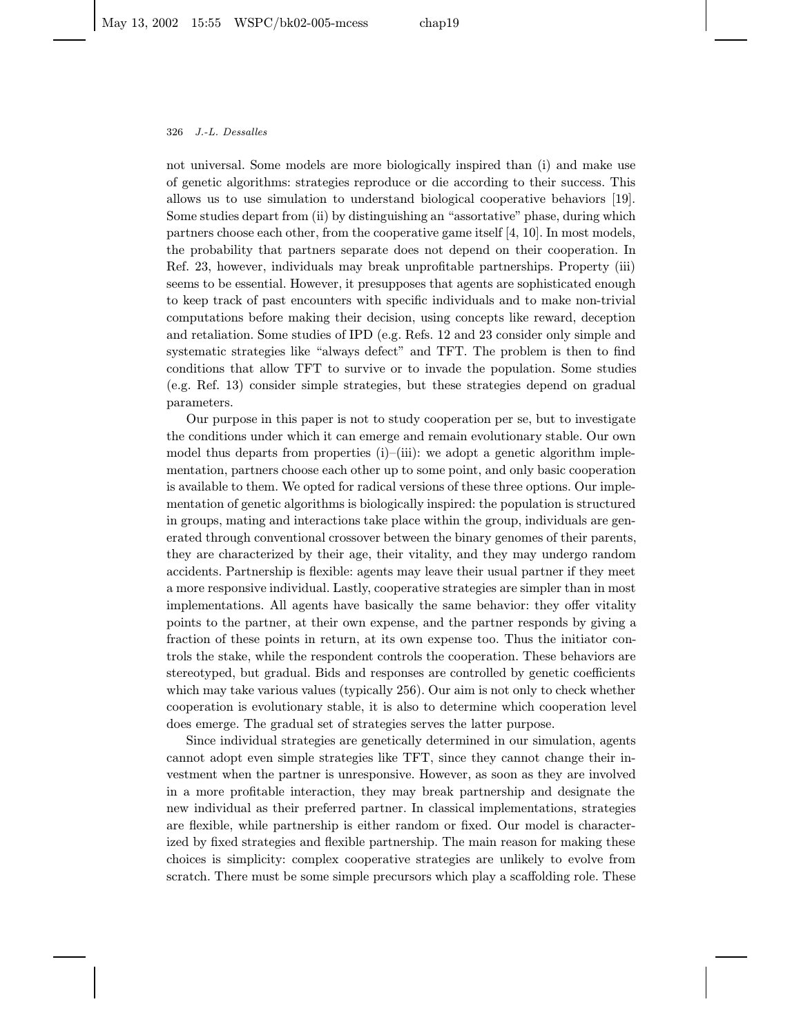not universal. Some models are more biologically inspired than (i) and make use of genetic algorithms: strategies reproduce or die according to their success. This allows us to use simulation to understand biological cooperative behaviors [19]. Some studies depart from (ii) by distinguishing an "assortative" phase, during which partners choose each other, from the cooperative game itself [4, 10]. In most models, the probability that partners separate does not depend on their cooperation. In Ref. 23, however, individuals may break unprofitable partnerships. Property (iii) seems to be essential. However, it presupposes that agents are sophisticated enough to keep track of past encounters with specific individuals and to make non-trivial computations before making their decision, using concepts like reward, deception and retaliation. Some studies of IPD (e.g. Refs. 12 and 23 consider only simple and systematic strategies like "always defect" and TFT. The problem is then to find conditions that allow TFT to survive or to invade the population. Some studies (e.g. Ref. 13) consider simple strategies, but these strategies depend on gradual parameters.

Our purpose in this paper is not to study cooperation per se, but to investigate the conditions under which it can emerge and remain evolutionary stable. Our own model thus departs from properties (i)–(iii): we adopt a genetic algorithm implementation, partners choose each other up to some point, and only basic cooperation is available to them. We opted for radical versions of these three options. Our implementation of genetic algorithms is biologically inspired: the population is structured in groups, mating and interactions take place within the group, individuals are generated through conventional crossover between the binary genomes of their parents, they are characterized by their age, their vitality, and they may undergo random accidents. Partnership is flexible: agents may leave their usual partner if they meet a more responsive individual. Lastly, cooperative strategies are simpler than in most implementations. All agents have basically the same behavior: they offer vitality points to the partner, at their own expense, and the partner responds by giving a fraction of these points in return, at its own expense too. Thus the initiator controls the stake, while the respondent controls the cooperation. These behaviors are stereotyped, but gradual. Bids and responses are controlled by genetic coefficients which may take various values (typically 256). Our aim is not only to check whether cooperation is evolutionary stable, it is also to determine which cooperation level does emerge. The gradual set of strategies serves the latter purpose.

Since individual strategies are genetically determined in our simulation, agents cannot adopt even simple strategies like TFT, since they cannot change their investment when the partner is unresponsive. However, as soon as they are involved in a more profitable interaction, they may break partnership and designate the new individual as their preferred partner. In classical implementations, strategies are flexible, while partnership is either random or fixed. Our model is characterized by fixed strategies and flexible partnership. The main reason for making these choices is simplicity: complex cooperative strategies are unlikely to evolve from scratch. There must be some simple precursors which play a scaffolding role. These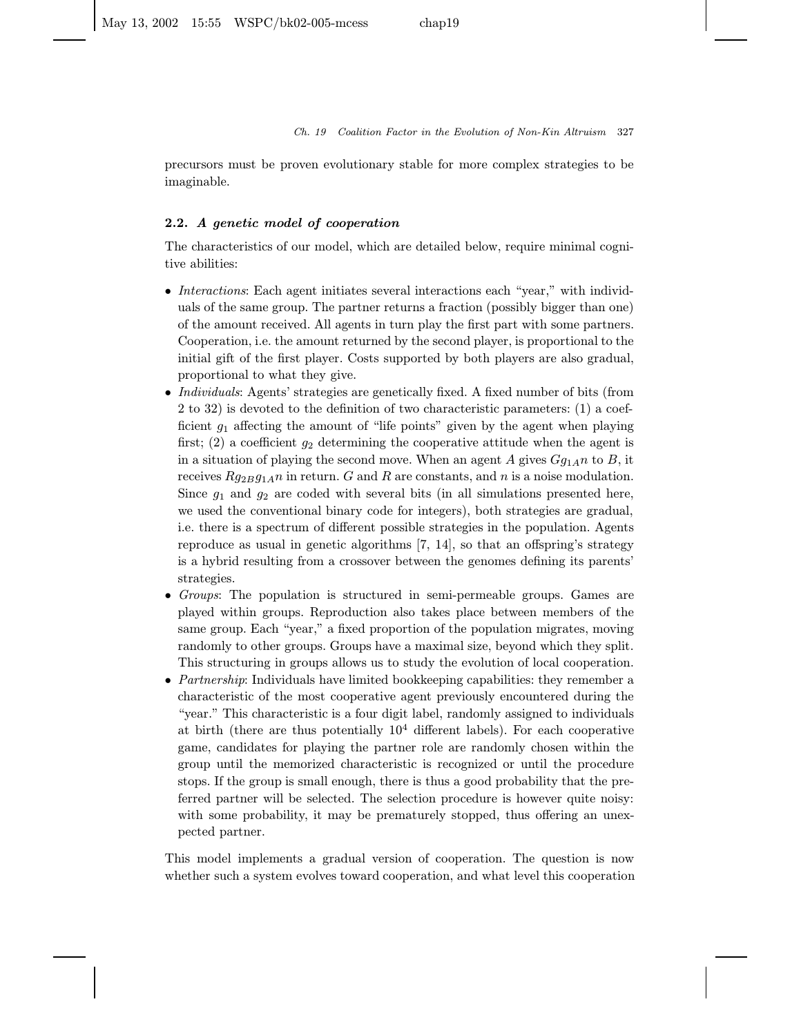precursors must be proven evolutionary stable for more complex strategies to be imaginable.

## 2.2. A genetic model of cooperation

The characteristics of our model, which are detailed below, require minimal cognitive abilities:

- Interactions: Each agent initiates several interactions each "year," with individuals of the same group. The partner returns a fraction (possibly bigger than one) of the amount received. All agents in turn play the first part with some partners. Cooperation, i.e. the amount returned by the second player, is proportional to the initial gift of the first player. Costs supported by both players are also gradual, proportional to what they give.
- Individuals: Agents' strategies are genetically fixed. A fixed number of bits (from 2 to 32) is devoted to the definition of two characteristic parameters: (1) a coefficient  $g_1$  affecting the amount of "life points" given by the agent when playing first; (2) a coefficient  $g_2$  determining the cooperative attitude when the agent is in a situation of playing the second move. When an agent A gives  $Gg_{1A}n$  to B, it receives  $Rg_{2B}g_{1A}n$  in return. G and R are constants, and n is a noise modulation. Since  $g_1$  and  $g_2$  are coded with several bits (in all simulations presented here, we used the conventional binary code for integers), both strategies are gradual, i.e. there is a spectrum of different possible strategies in the population. Agents reproduce as usual in genetic algorithms [7, 14], so that an offspring's strategy is a hybrid resulting from a crossover between the genomes defining its parents' strategies.
- Groups: The population is structured in semi-permeable groups. Games are played within groups. Reproduction also takes place between members of the same group. Each "year," a fixed proportion of the population migrates, moving randomly to other groups. Groups have a maximal size, beyond which they split. This structuring in groups allows us to study the evolution of local cooperation.
- Partnership: Individuals have limited bookkeeping capabilities: they remember a characteristic of the most cooperative agent previously encountered during the "year." This characteristic is a four digit label, randomly assigned to individuals at birth (there are thus potentially  $10<sup>4</sup>$  different labels). For each cooperative game, candidates for playing the partner role are randomly chosen within the group until the memorized characteristic is recognized or until the procedure stops. If the group is small enough, there is thus a good probability that the preferred partner will be selected. The selection procedure is however quite noisy: with some probability, it may be prematurely stopped, thus offering an unexpected partner.

This model implements a gradual version of cooperation. The question is now whether such a system evolves toward cooperation, and what level this cooperation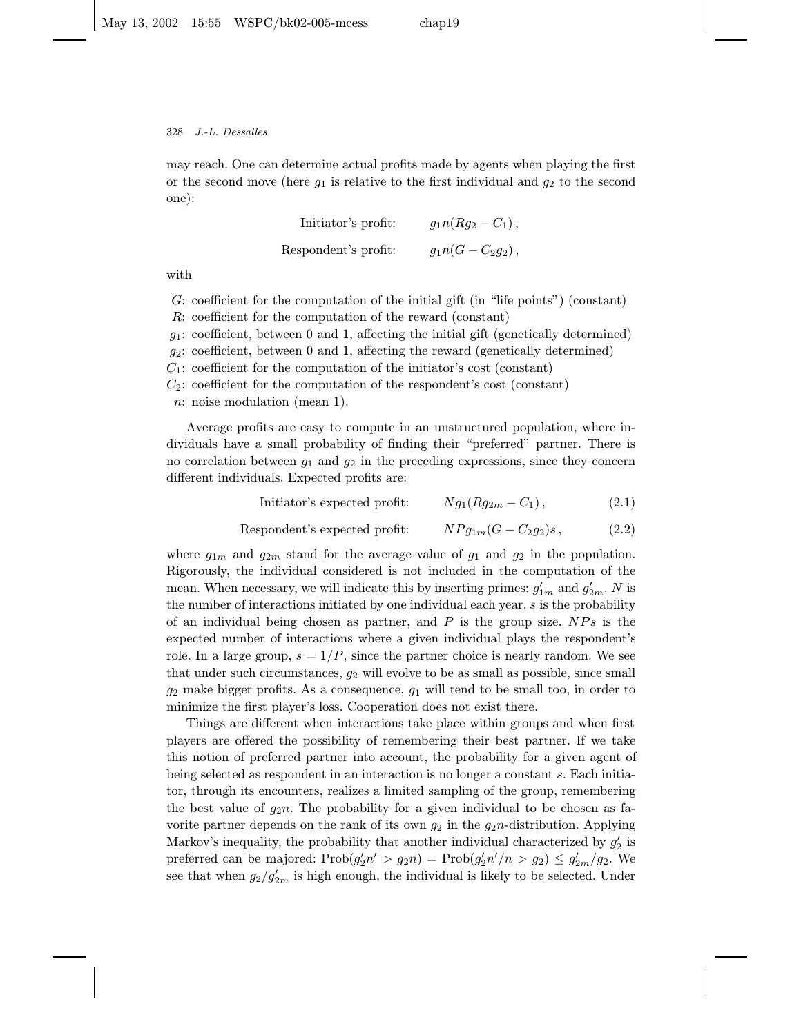may reach. One can determine actual profits made by agents when playing the first or the second move (here  $q_1$  is relative to the first individual and  $q_2$  to the second one):

$$
\begin{aligned}\n\text{Initiator's profit:} \qquad & g_1 n (Rg_2 - C_1), \\
\text{Respondent's profit:} \qquad & g_1 n (G - C_2 g_2),\n\end{aligned}
$$

with

G: coefficient for the computation of the initial gift (in "life points") (constant) R: coefficient for the computation of the reward (constant)

 $q_1$ : coefficient, between 0 and 1, affecting the initial gift (genetically determined)

 $g_2$ : coefficient, between 0 and 1, affecting the reward (genetically determined)

- $C_1$ : coefficient for the computation of the initiator's cost (constant)
- $C_2$ : coefficient for the computation of the respondent's cost (constant)

n: noise modulation (mean 1).

Average profits are easy to compute in an unstructured population, where individuals have a small probability of finding their "preferred" partner. There is no correlation between  $g_1$  and  $g_2$  in the preceding expressions, since they concern different individuals. Expected profits are:

$$
Initiator's expected profit: \t Ng1(Rg2m - C1), \t (2.1)
$$

Respondent's expected profit: 
$$
NPg_{1m}(G - C_2g_2)s
$$
, (2.2)

where  $g_{1m}$  and  $g_{2m}$  stand for the average value of  $g_1$  and  $g_2$  in the population. Rigorously, the individual considered is not included in the computation of the mean. When necessary, we will indicate this by inserting primes:  $g'_{1m}$  and  $g'_{2m}$ . N is the number of interactions initiated by one individual each year. s is the probability of an individual being chosen as partner, and  $P$  is the group size.  $NPs$  is the expected number of interactions where a given individual plays the respondent's role. In a large group,  $s = 1/P$ , since the partner choice is nearly random. We see that under such circumstances,  $g_2$  will evolve to be as small as possible, since small  $g_2$  make bigger profits. As a consequence,  $g_1$  will tend to be small too, in order to minimize the first player's loss. Cooperation does not exist there.

Things are different when interactions take place within groups and when first players are offered the possibility of remembering their best partner. If we take this notion of preferred partner into account, the probability for a given agent of being selected as respondent in an interaction is no longer a constant s. Each initiator, through its encounters, realizes a limited sampling of the group, remembering the best value of  $g_2n$ . The probability for a given individual to be chosen as favorite partner depends on the rank of its own  $g_2$  in the  $g_2n$ -distribution. Applying Markov's inequality, the probability that another individual characterized by  $g_2$  is preferred can be majored:  $\text{Prob}(g'_2 n' > g_2 n) = \text{Prob}(g'_2 n'/n > g_2) \leq g'_{2m}/g_2$ . We see that when  $g_2/g'_{2m}$  is high enough, the individual is likely to be selected. Under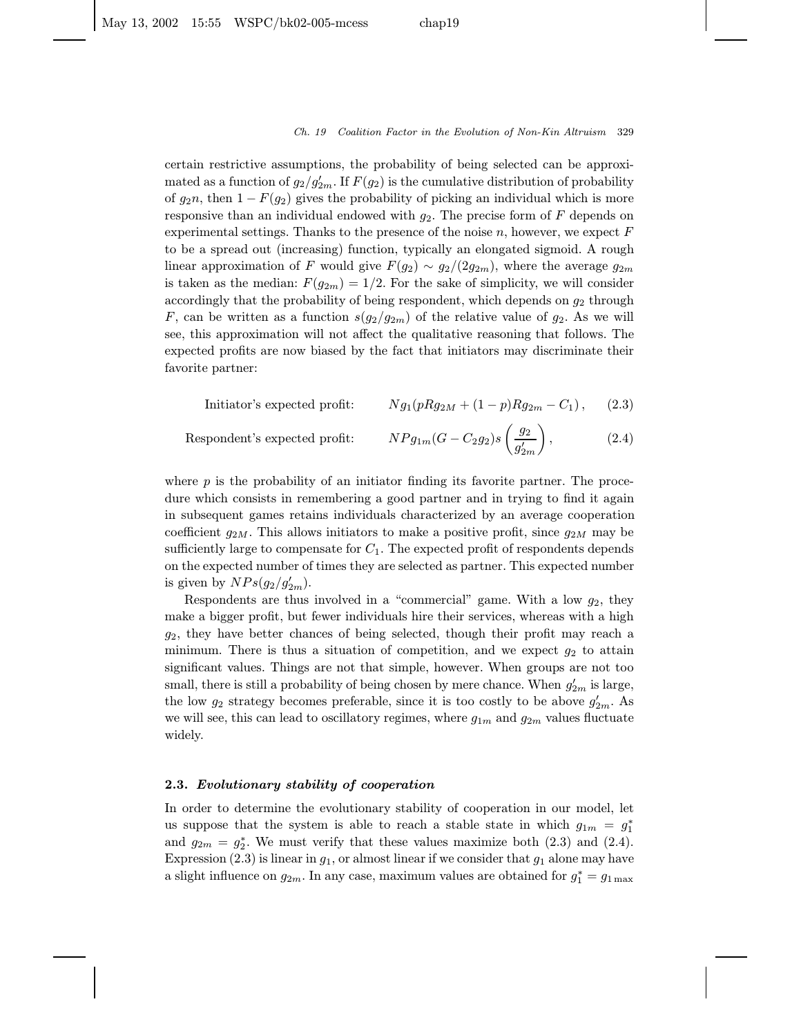certain restrictive assumptions, the probability of being selected can be approximated as a function of  $g_2/g'_{2m}$ . If  $F(g_2)$  is the cumulative distribution of probability of  $g_2n$ , then  $1 - F(g_2)$  gives the probability of picking an individual which is more responsive than an individual endowed with  $g_2$ . The precise form of  $F$  depends on experimental settings. Thanks to the presence of the noise  $n$ , however, we expect  $F$ to be a spread out (increasing) function, typically an elongated sigmoid. A rough linear approximation of F would give  $F(q_2) \sim q_2/(2q_{2m})$ , where the average  $q_{2m}$ is taken as the median:  $F(g_{2m})=1/2$ . For the sake of simplicity, we will consider accordingly that the probability of being respondent, which depends on  $g_2$  through F, can be written as a function  $s(g_2/g_{2m})$  of the relative value of  $g_2$ . As we will see, this approximation will not affect the qualitative reasoning that follows. The expected profits are now biased by the fact that initiators may discriminate their favorite partner:

Initiator's expected profit: 
$$
Ng_1(pRg_{2M} + (1-p)Rg_{2m} - C_1), \quad (2.3)
$$

Respondent's expected profit: 
$$
NPg_{1m}(G - C_2g_2)s\left(\frac{g_2}{g'_{2m}}\right)
$$
, (2.4)

where  $p$  is the probability of an initiator finding its favorite partner. The procedure which consists in remembering a good partner and in trying to find it again in subsequent games retains individuals characterized by an average cooperation coefficient  $g_{2M}$ . This allows initiators to make a positive profit, since  $g_{2M}$  may be sufficiently large to compensate for  $C_1$ . The expected profit of respondents depends on the expected number of times they are selected as partner. This expected number is given by  $NPs(g_2/g'_{2m})$ .

Respondents are thus involved in a "commercial" game. With a low  $g_2$ , they make a bigger profit, but fewer individuals hire their services, whereas with a high  $q_2$ , they have better chances of being selected, though their profit may reach a minimum. There is thus a situation of competition, and we expect  $g_2$  to attain significant values. Things are not that simple, however. When groups are not too small, there is still a probability of being chosen by mere chance. When  $g'_{2m}$  is large, the low  $g_2$  strategy becomes preferable, since it is too costly to be above  $g'_{2m}$ . As we will see, this can lead to oscillatory regimes, where  $g_{1m}$  and  $g_{2m}$  values fluctuate widely.

## 2.3. Evolutionary stability of cooperation

In order to determine the evolutionary stability of cooperation in our model, let us suppose that the system is able to reach a stable state in which  $g_{1m} = g_1^*$ and  $g_{2m} = g_2^*$ . We must verify that these values maximize both (2.3) and (2.4). Expression (2.3) is linear in  $g_1$ , or almost linear if we consider that  $g_1$  alone may have a slight influence on  $g_{2m}$ . In any case, maximum values are obtained for  $g_1^* = g_{1\,\text{max}}$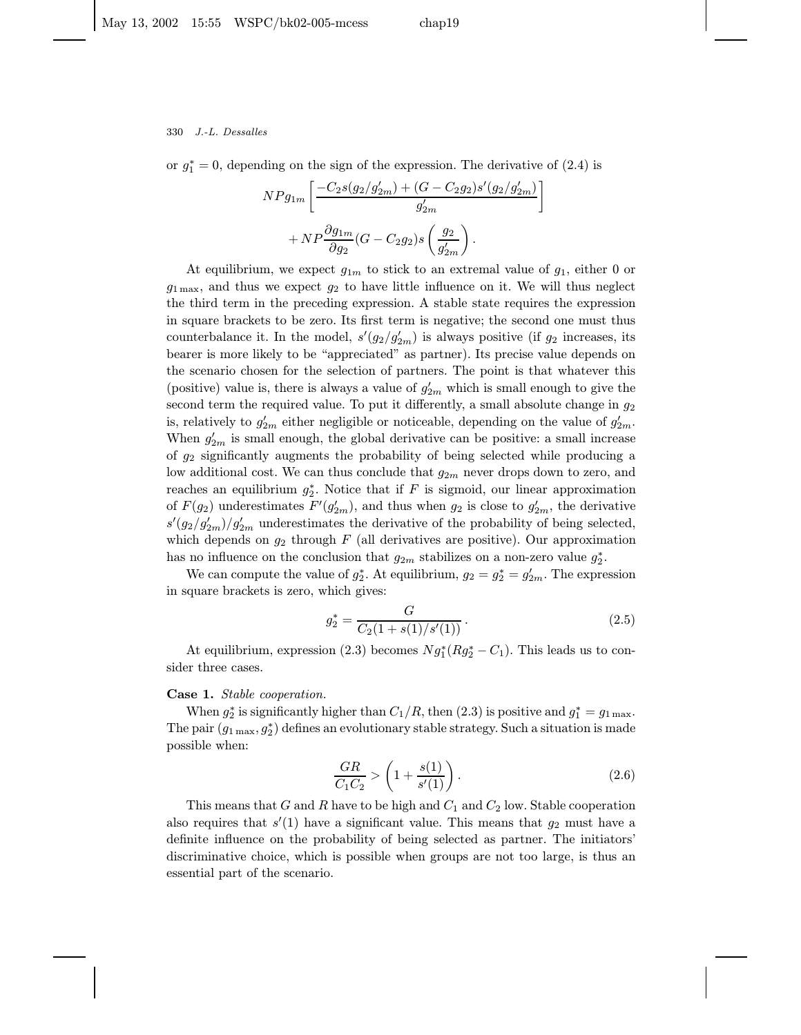or  $g_1^* = 0$ , depending on the sign of the expression. The derivative of  $(2.4)$  is

$$
NPg_{1m}\left[\frac{-C_{2}s(g_{2}/g_{2m}')+(G-C_{2}g_{2})s'(g_{2}/g_{2m}')}{g_{2m}'}\right] + NP\frac{\partial g_{1m}}{\partial g_{2}}(G-C_{2}g_{2})s\left(\frac{g_{2}}{g_{2m}'}\right).
$$

At equilibrium, we expect  $g_{1m}$  to stick to an extremal value of  $g_1$ , either 0 or  $g_{1\,\text{max}}$ , and thus we expect  $g_2$  to have little influence on it. We will thus neglect the third term in the preceding expression. A stable state requires the expression in square brackets to be zero. Its first term is negative; the second one must thus counterbalance it. In the model,  $s'(g_2/g'_{2m})$  is always positive (if  $g_2$  increases, its bearer is more likely to be "appreciated" as partner). Its precise value depends on the scenario chosen for the selection of partners. The point is that whatever this (positive) value is, there is always a value of  $g'_{2m}$  which is small enough to give the second term the required value. To put it differently, a small absolute change in  $g_2$ is, relatively to  $g'_{2m}$  either negligible or noticeable, depending on the value of  $g'_{2m}$ . When  $g'_{2m}$  is small enough, the global derivative can be positive: a small increase of  $g_2$  significantly augments the probability of being selected while producing a low additional cost. We can thus conclude that  $g_{2m}$  never drops down to zero, and reaches an equilibrium  $g_2^*$ . Notice that if F is sigmoid, our linear approximation of  $F(g_2)$  underestimates  $F'(g'_{2m})$ , and thus when  $g_2$  is close to  $g'_{2m}$ , the derivative  $s'(g_2/g'_{2m})/g'_{2m}$  underestimates the derivative of the probability of being selected, which depends on  $g_2$  through F (all derivatives are positive). Our approximation has no influence on the conclusion that  $g_{2m}$  stabilizes on a non-zero value  $g_2^*$ .

We can compute the value of  $g_2^*$ . At equilibrium,  $g_2 = g_2^* = g_{2m}'$ . The expression in square brackets is zero, which gives:

$$
g_2^* = \frac{G}{C_2(1+s(1)/s'(1))}.
$$
\n(2.5)

At equilibrium, expression (2.3) becomes  $Ng_1^*(Rg_2^*-C_1)$ . This leads us to consider three cases.

Case 1. Stable cooperation.

When  $g_2^*$  is significantly higher than  $C_1/R$ , then (2.3) is positive and  $g_1^* = g_1$  max. The pair  $(g_{1\max}, g_2^*)$  defines an evolutionary stable strategy. Such a situation is made possible when:

$$
\frac{GR}{C_1C_2} > \left(1 + \frac{s(1)}{s'(1)}\right). \tag{2.6}
$$

This means that G and R have to be high and  $C_1$  and  $C_2$  low. Stable cooperation also requires that  $s'(1)$  have a significant value. This means that  $g_2$  must have a definite influence on the probability of being selected as partner. The initiators' discriminative choice, which is possible when groups are not too large, is thus an essential part of the scenario.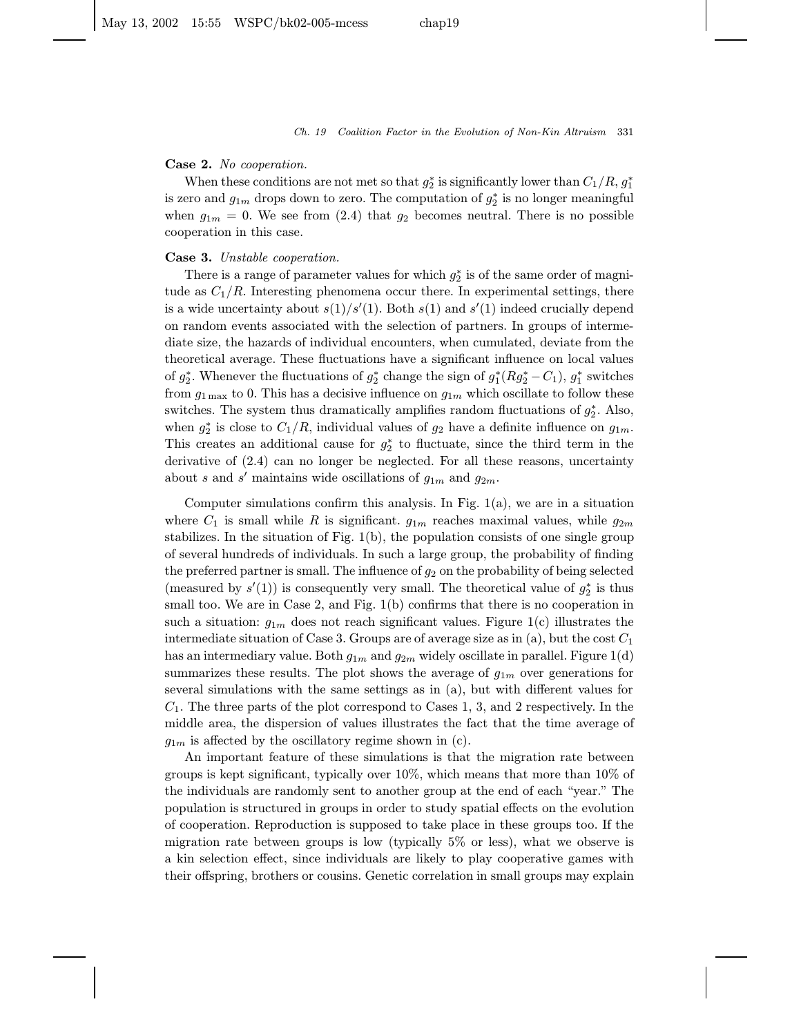## Case 2. No cooperation.

When these conditions are not met so that  $g_2^*$  is significantly lower than  $C_1/R, g_1^*$ is zero and  $g_{1m}$  drops down to zero. The computation of  $g_2^*$  is no longer meaningful when  $g_{1m} = 0$ . We see from (2.4) that  $g_2$  becomes neutral. There is no possible cooperation in this case.

### Case 3. Unstable cooperation.

There is a range of parameter values for which  $g_2^*$  is of the same order of magnitude as  $C_1/R$ . Interesting phenomena occur there. In experimental settings, there is a wide uncertainty about  $s(1)/s'(1)$ . Both  $s(1)$  and  $s'(1)$  indeed crucially depend on random events associated with the selection of partners. In groups of intermediate size, the hazards of individual encounters, when cumulated, deviate from the theoretical average. These fluctuations have a significant influence on local values of  $g_2^*$ . Whenever the fluctuations of  $g_2^*$  change the sign of  $g_1^*(Rg_2^*-C_1)$ ,  $g_1^*$  switches from  $g_{1\,\text{max}}$  to 0. This has a decisive influence on  $g_{1m}$  which oscillate to follow these switches. The system thus dramatically amplifies random fluctuations of  $g_2^*$ . Also, when  $g_2^*$  is close to  $C_1/R$ , individual values of  $g_2$  have a definite influence on  $g_{1m}$ . This creates an additional cause for  $g_2^*$  to fluctuate, since the third term in the derivative of (2.4) can no longer be neglected. For all these reasons, uncertainty about s and s' maintains wide oscillations of  $g_{1m}$  and  $g_{2m}$ .

Computer simulations confirm this analysis. In Fig. 1(a), we are in a situation where  $C_1$  is small while R is significant.  $g_{1m}$  reaches maximal values, while  $g_{2m}$ stabilizes. In the situation of Fig. 1(b), the population consists of one single group of several hundreds of individuals. In such a large group, the probability of finding the preferred partner is small. The influence of  $g_2$  on the probability of being selected (measured by  $s'(1)$ ) is consequently very small. The theoretical value of  $g_2^*$  is thus small too. We are in Case 2, and Fig. 1(b) confirms that there is no cooperation in such a situation:  $g_{1m}$  does not reach significant values. Figure 1(c) illustrates the intermediate situation of Case 3. Groups are of average size as in  $(a)$ , but the cost  $C_1$ has an intermediary value. Both  $g_{1m}$  and  $g_{2m}$  widely oscillate in parallel. Figure 1(d) summarizes these results. The plot shows the average of  $g_{1m}$  over generations for several simulations with the same settings as in (a), but with different values for  $C_1$ . The three parts of the plot correspond to Cases 1, 3, and 2 respectively. In the middle area, the dispersion of values illustrates the fact that the time average of  $g_{1m}$  is affected by the oscillatory regime shown in (c).

An important feature of these simulations is that the migration rate between groups is kept significant, typically over 10%, which means that more than 10% of the individuals are randomly sent to another group at the end of each "year." The population is structured in groups in order to study spatial effects on the evolution of cooperation. Reproduction is supposed to take place in these groups too. If the migration rate between groups is low (typically 5% or less), what we observe is a kin selection effect, since individuals are likely to play cooperative games with their offspring, brothers or cousins. Genetic correlation in small groups may explain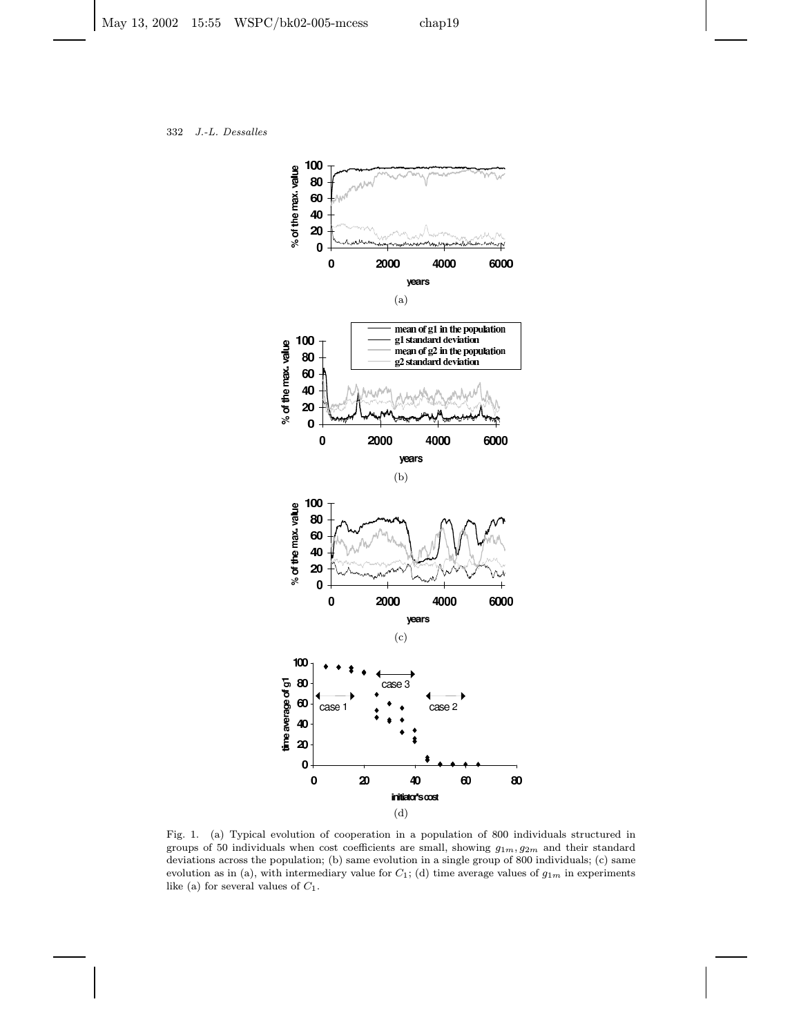

Fig. 1. (a) Typical evolution of cooperation in a population of 800 individuals structured in groups of 50 individuals when cost coefficients are small, showing  $g_{1m}$ ,  $g_{2m}$  and their standard deviations across the population; (b) same evolution in a single group of 800 individuals; (c) same evolution as in (a), with intermediary value for  $C_1$ ; (d) time average values of  $g_{1m}$  in experiments like (a) for several values of  $C_1$ .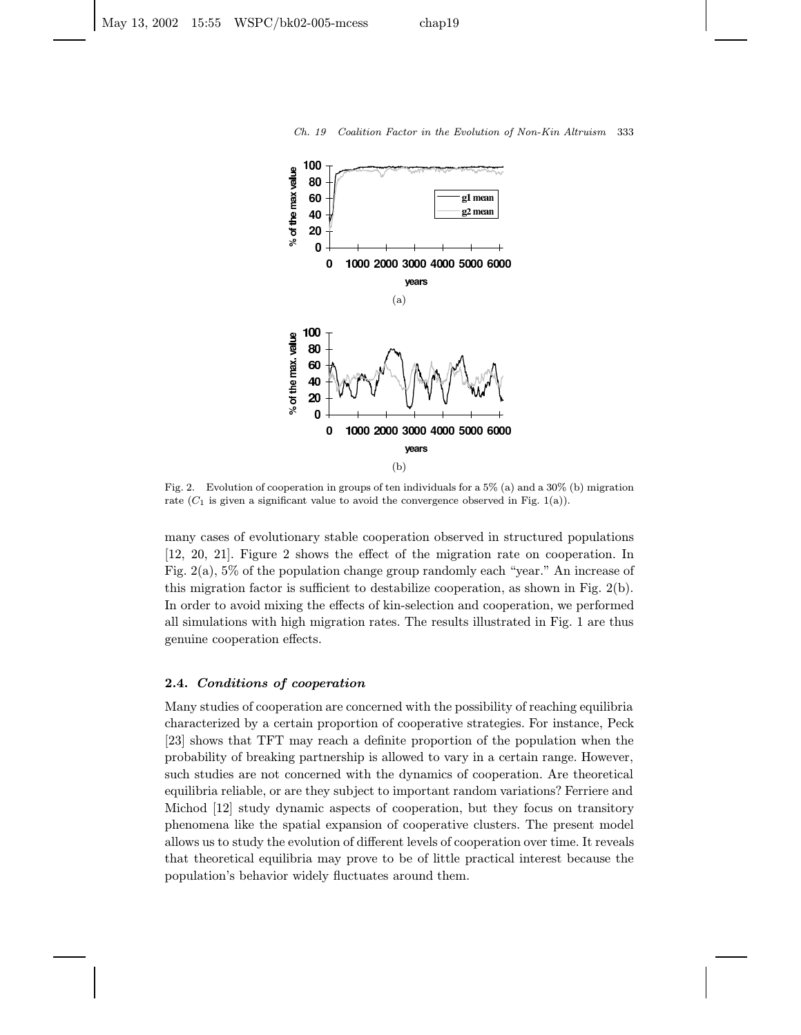

Ch. 19 Coalition Factor in the Evolution of Non-Kin Altruism 333

Fig. 2. Evolution of cooperation in groups of ten individuals for a 5% (a) and a 30% (b) migration rate  $(C_1$  is given a significant value to avoid the convergence observed in Fig. 1(a)).

many cases of evolutionary stable cooperation observed in structured populations [12, 20, 21]. Figure 2 shows the effect of the migration rate on cooperation. In Fig. 2(a), 5% of the population change group randomly each "year." An increase of this migration factor is sufficient to destabilize cooperation, as shown in Fig. 2(b). In order to avoid mixing the effects of kin-selection and cooperation, we performed all simulations with high migration rates. The results illustrated in Fig. 1 are thus genuine cooperation effects.

## 2.4. Conditions of cooperation

Many studies of cooperation are concerned with the possibility of reaching equilibria characterized by a certain proportion of cooperative strategies. For instance, Peck [23] shows that TFT may reach a definite proportion of the population when the probability of breaking partnership is allowed to vary in a certain range. However, such studies are not concerned with the dynamics of cooperation. Are theoretical equilibria reliable, or are they subject to important random variations? Ferriere and Michod [12] study dynamic aspects of cooperation, but they focus on transitory phenomena like the spatial expansion of cooperative clusters. The present model allows us to study the evolution of different levels of cooperation over time. It reveals that theoretical equilibria may prove to be of little practical interest because the population's behavior widely fluctuates around them.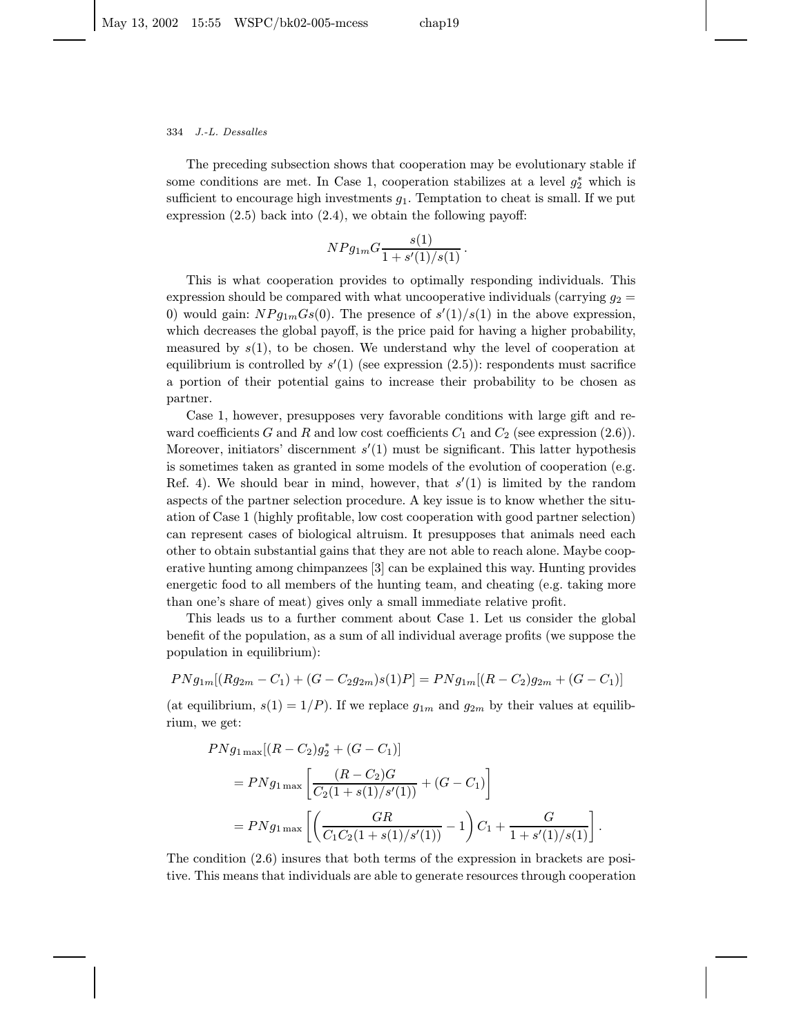The preceding subsection shows that cooperation may be evolutionary stable if some conditions are met. In Case 1, cooperation stabilizes at a level  $g_2^*$  which is sufficient to encourage high investments  $g_1$ . Temptation to cheat is small. If we put expression (2.5) back into (2.4), we obtain the following payoff:

$$
NPg_{1m}G\frac{s(1)}{1+s'(1)/s(1)}.
$$

This is what cooperation provides to optimally responding individuals. This expression should be compared with what uncooperative individuals (carrying  $g_2 =$ 0) would gain:  $NPg_{1m}Gs(0)$ . The presence of  $s'(1)/s(1)$  in the above expression, which decreases the global payoff, is the price paid for having a higher probability, measured by  $s(1)$ , to be chosen. We understand why the level of cooperation at equilibrium is controlled by  $s'(1)$  (see expression  $(2.5)$ ): respondents must sacrifice a portion of their potential gains to increase their probability to be chosen as partner.

Case 1, however, presupposes very favorable conditions with large gift and reward coefficients G and R and low cost coefficients  $C_1$  and  $C_2$  (see expression (2.6)). Moreover, initiators' discernment  $s'(1)$  must be significant. This latter hypothesis is sometimes taken as granted in some models of the evolution of cooperation (e.g. Ref. 4). We should bear in mind, however, that  $s'(1)$  is limited by the random aspects of the partner selection procedure. A key issue is to know whether the situation of Case 1 (highly profitable, low cost cooperation with good partner selection) can represent cases of biological altruism. It presupposes that animals need each other to obtain substantial gains that they are not able to reach alone. Maybe cooperative hunting among chimpanzees [3] can be explained this way. Hunting provides energetic food to all members of the hunting team, and cheating (e.g. taking more than one's share of meat) gives only a small immediate relative profit.

This leads us to a further comment about Case 1. Let us consider the global benefit of the population, as a sum of all individual average profits (we suppose the population in equilibrium):

$$
PNg_{1m}[(Rg_{2m}-C_1)+(G-C_2g_{2m})s(1)P]=PNg_{1m}[(R-C_2)g_{2m}+(G-C_1)]
$$

(at equilibrium,  $s(1) = 1/P$ ). If we replace  $g_{1m}$  and  $g_{2m}$  by their values at equilibrium, we get:

$$
PNg_{1\max}[(R - C_2)g_2^* + (G - C_1)]
$$
  
= 
$$
PNg_{1\max} \left[ \frac{(R - C_2)G}{C_2(1 + s(1)/s'(1))} + (G - C_1) \right]
$$
  
= 
$$
PNg_{1\max} \left[ \left( \frac{GR}{C_1C_2(1 + s(1)/s'(1))} - 1 \right)C_1 + \frac{G}{1 + s'(1)/s(1)} \right]
$$

.

The condition (2.6) insures that both terms of the expression in brackets are positive. This means that individuals are able to generate resources through cooperation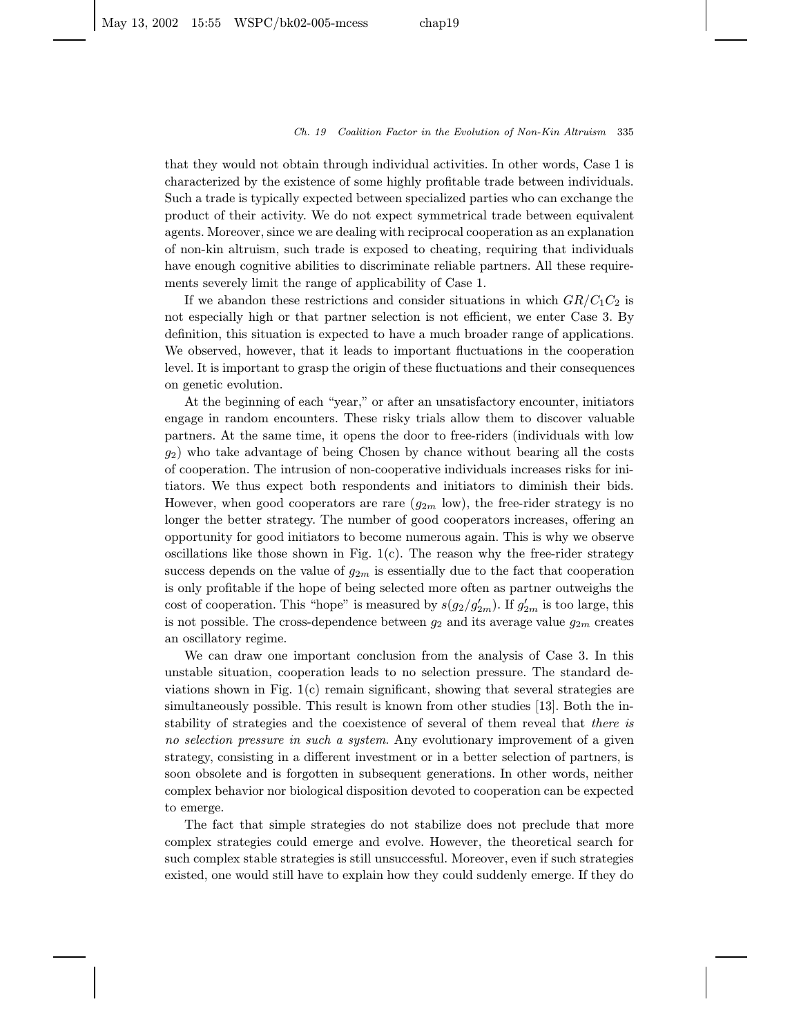that they would not obtain through individual activities. In other words, Case 1 is characterized by the existence of some highly profitable trade between individuals. Such a trade is typically expected between specialized parties who can exchange the product of their activity. We do not expect symmetrical trade between equivalent agents. Moreover, since we are dealing with reciprocal cooperation as an explanation of non-kin altruism, such trade is exposed to cheating, requiring that individuals have enough cognitive abilities to discriminate reliable partners. All these requirements severely limit the range of applicability of Case 1.

If we abandon these restrictions and consider situations in which  $GR/C_1C_2$  is not especially high or that partner selection is not efficient, we enter Case 3. By definition, this situation is expected to have a much broader range of applications. We observed, however, that it leads to important fluctuations in the cooperation level. It is important to grasp the origin of these fluctuations and their consequences on genetic evolution.

At the beginning of each "year," or after an unsatisfactory encounter, initiators engage in random encounters. These risky trials allow them to discover valuable partners. At the same time, it opens the door to free-riders (individuals with low  $g_2$ ) who take advantage of being Chosen by chance without bearing all the costs of cooperation. The intrusion of non-cooperative individuals increases risks for initiators. We thus expect both respondents and initiators to diminish their bids. However, when good cooperators are rare  $(g_{2m} \text{ low})$ , the free-rider strategy is no longer the better strategy. The number of good cooperators increases, offering an opportunity for good initiators to become numerous again. This is why we observe oscillations like those shown in Fig. 1(c). The reason why the free-rider strategy success depends on the value of  $g_{2m}$  is essentially due to the fact that cooperation is only profitable if the hope of being selected more often as partner outweighs the cost of cooperation. This "hope" is measured by  $s(g_2/g'_{2m})$ . If  $g'_{2m}$  is too large, this is not possible. The cross-dependence between  $g_2$  and its average value  $g_{2m}$  creates an oscillatory regime.

We can draw one important conclusion from the analysis of Case 3. In this unstable situation, cooperation leads to no selection pressure. The standard deviations shown in Fig.  $1(c)$  remain significant, showing that several strategies are simultaneously possible. This result is known from other studies [13]. Both the instability of strategies and the coexistence of several of them reveal that there is no selection pressure in such a system. Any evolutionary improvement of a given strategy, consisting in a different investment or in a better selection of partners, is soon obsolete and is forgotten in subsequent generations. In other words, neither complex behavior nor biological disposition devoted to cooperation can be expected to emerge.

The fact that simple strategies do not stabilize does not preclude that more complex strategies could emerge and evolve. However, the theoretical search for such complex stable strategies is still unsuccessful. Moreover, even if such strategies existed, one would still have to explain how they could suddenly emerge. If they do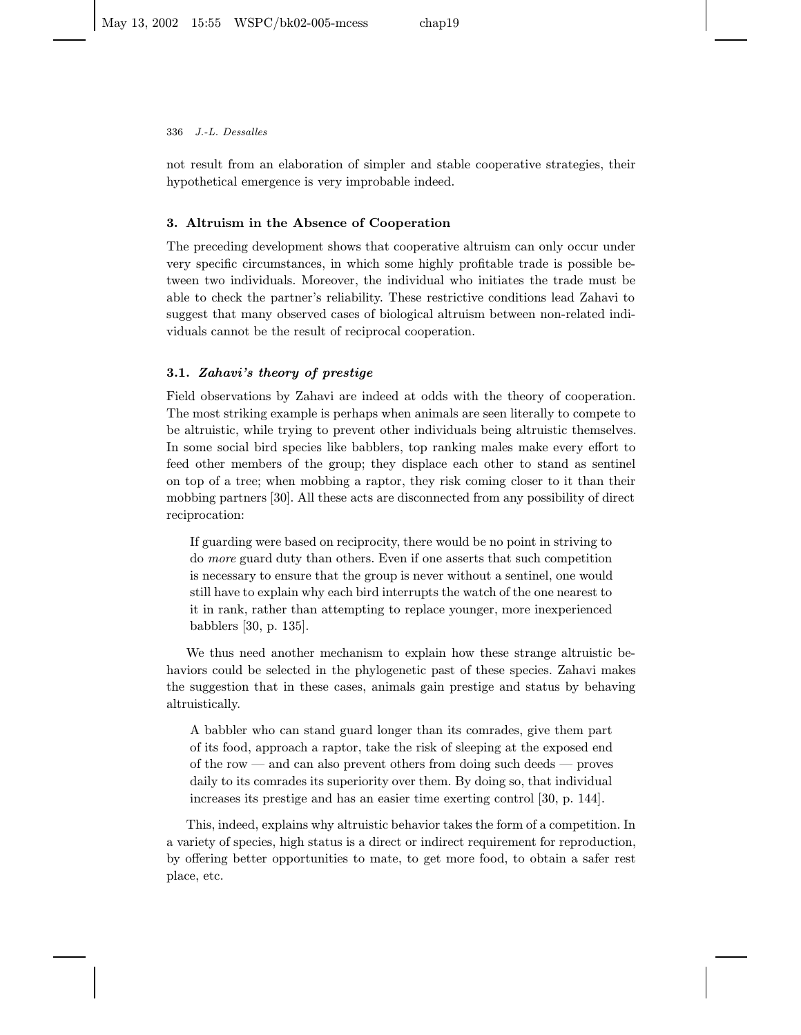not result from an elaboration of simpler and stable cooperative strategies, their hypothetical emergence is very improbable indeed.

## 3. Altruism in the Absence of Cooperation

The preceding development shows that cooperative altruism can only occur under very specific circumstances, in which some highly profitable trade is possible between two individuals. Moreover, the individual who initiates the trade must be able to check the partner's reliability. These restrictive conditions lead Zahavi to suggest that many observed cases of biological altruism between non-related individuals cannot be the result of reciprocal cooperation.

## 3.1. Zahavi's theory of prestige

Field observations by Zahavi are indeed at odds with the theory of cooperation. The most striking example is perhaps when animals are seen literally to compete to be altruistic, while trying to prevent other individuals being altruistic themselves. In some social bird species like babblers, top ranking males make every effort to feed other members of the group; they displace each other to stand as sentinel on top of a tree; when mobbing a raptor, they risk coming closer to it than their mobbing partners [30]. All these acts are disconnected from any possibility of direct reciprocation:

If guarding were based on reciprocity, there would be no point in striving to do more guard duty than others. Even if one asserts that such competition is necessary to ensure that the group is never without a sentinel, one would still have to explain why each bird interrupts the watch of the one nearest to it in rank, rather than attempting to replace younger, more inexperienced babblers [30, p. 135].

We thus need another mechanism to explain how these strange altruistic behaviors could be selected in the phylogenetic past of these species. Zahavi makes the suggestion that in these cases, animals gain prestige and status by behaving altruistically.

A babbler who can stand guard longer than its comrades, give them part of its food, approach a raptor, take the risk of sleeping at the exposed end of the row — and can also prevent others from doing such deeds — proves daily to its comrades its superiority over them. By doing so, that individual increases its prestige and has an easier time exerting control [30, p. 144].

This, indeed, explains why altruistic behavior takes the form of a competition. In a variety of species, high status is a direct or indirect requirement for reproduction, by offering better opportunities to mate, to get more food, to obtain a safer rest place, etc.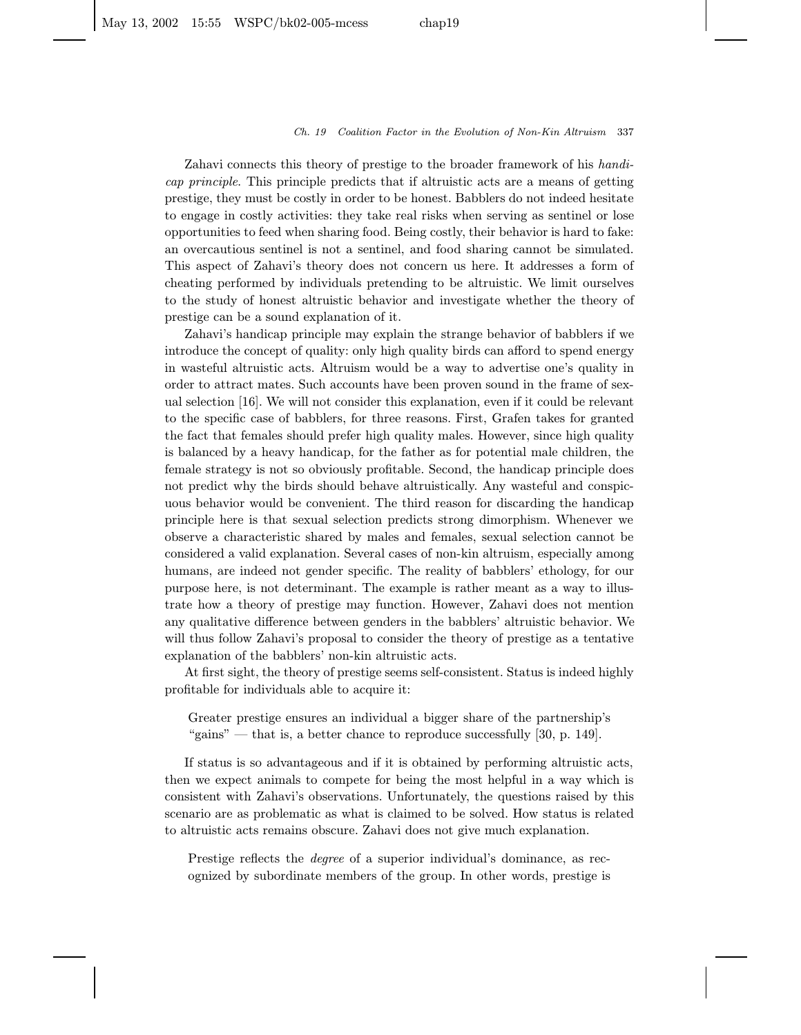Zahavi connects this theory of prestige to the broader framework of his handicap principle. This principle predicts that if altruistic acts are a means of getting prestige, they must be costly in order to be honest. Babblers do not indeed hesitate to engage in costly activities: they take real risks when serving as sentinel or lose opportunities to feed when sharing food. Being costly, their behavior is hard to fake: an overcautious sentinel is not a sentinel, and food sharing cannot be simulated. This aspect of Zahavi's theory does not concern us here. It addresses a form of cheating performed by individuals pretending to be altruistic. We limit ourselves to the study of honest altruistic behavior and investigate whether the theory of prestige can be a sound explanation of it.

Zahavi's handicap principle may explain the strange behavior of babblers if we introduce the concept of quality: only high quality birds can afford to spend energy in wasteful altruistic acts. Altruism would be a way to advertise one's quality in order to attract mates. Such accounts have been proven sound in the frame of sexual selection [16]. We will not consider this explanation, even if it could be relevant to the specific case of babblers, for three reasons. First, Grafen takes for granted the fact that females should prefer high quality males. However, since high quality is balanced by a heavy handicap, for the father as for potential male children, the female strategy is not so obviously profitable. Second, the handicap principle does not predict why the birds should behave altruistically. Any wasteful and conspicuous behavior would be convenient. The third reason for discarding the handicap principle here is that sexual selection predicts strong dimorphism. Whenever we observe a characteristic shared by males and females, sexual selection cannot be considered a valid explanation. Several cases of non-kin altruism, especially among humans, are indeed not gender specific. The reality of babblers' ethology, for our purpose here, is not determinant. The example is rather meant as a way to illustrate how a theory of prestige may function. However, Zahavi does not mention any qualitative difference between genders in the babblers' altruistic behavior. We will thus follow Zahavi's proposal to consider the theory of prestige as a tentative explanation of the babblers' non-kin altruistic acts.

At first sight, the theory of prestige seems self-consistent. Status is indeed highly profitable for individuals able to acquire it:

Greater prestige ensures an individual a bigger share of the partnership's "gains" — that is, a better chance to reproduce successfully [30, p. 149].

If status is so advantageous and if it is obtained by performing altruistic acts, then we expect animals to compete for being the most helpful in a way which is consistent with Zahavi's observations. Unfortunately, the questions raised by this scenario are as problematic as what is claimed to be solved. How status is related to altruistic acts remains obscure. Zahavi does not give much explanation.

Prestige reflects the *degree* of a superior individual's dominance, as recognized by subordinate members of the group. In other words, prestige is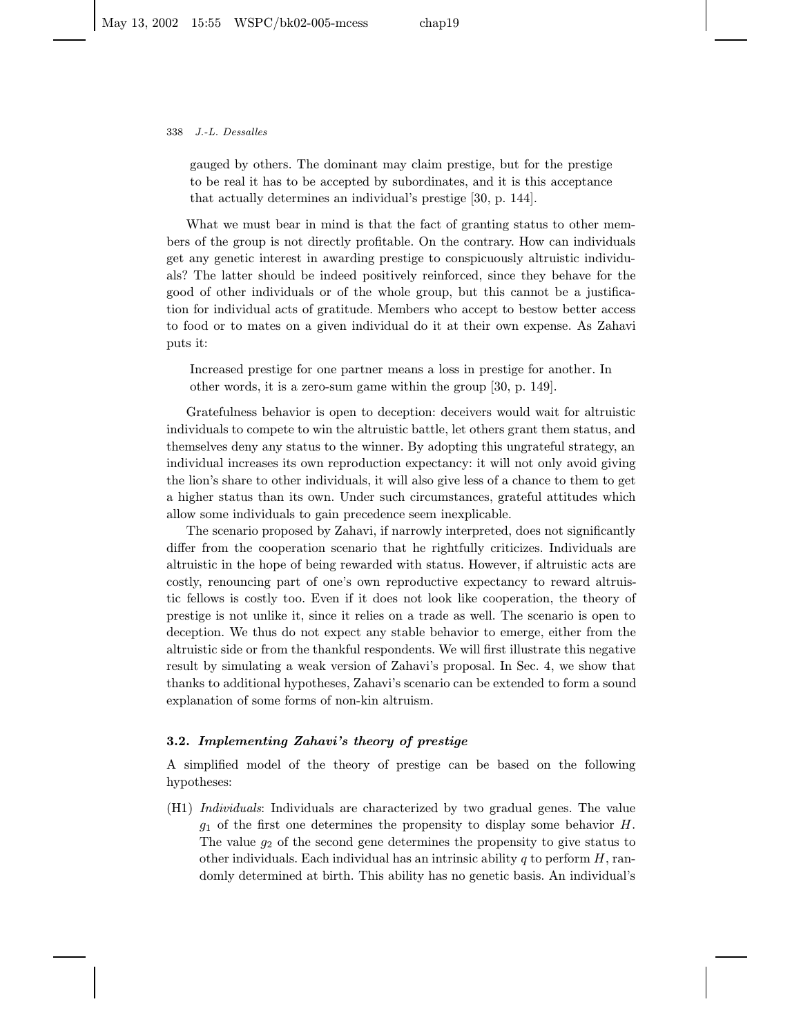gauged by others. The dominant may claim prestige, but for the prestige to be real it has to be accepted by subordinates, and it is this acceptance that actually determines an individual's prestige [30, p. 144].

What we must bear in mind is that the fact of granting status to other members of the group is not directly profitable. On the contrary. How can individuals get any genetic interest in awarding prestige to conspicuously altruistic individuals? The latter should be indeed positively reinforced, since they behave for the good of other individuals or of the whole group, but this cannot be a justification for individual acts of gratitude. Members who accept to bestow better access to food or to mates on a given individual do it at their own expense. As Zahavi puts it:

Increased prestige for one partner means a loss in prestige for another. In other words, it is a zero-sum game within the group [30, p. 149].

Gratefulness behavior is open to deception: deceivers would wait for altruistic individuals to compete to win the altruistic battle, let others grant them status, and themselves deny any status to the winner. By adopting this ungrateful strategy, an individual increases its own reproduction expectancy: it will not only avoid giving the lion's share to other individuals, it will also give less of a chance to them to get a higher status than its own. Under such circumstances, grateful attitudes which allow some individuals to gain precedence seem inexplicable.

The scenario proposed by Zahavi, if narrowly interpreted, does not significantly differ from the cooperation scenario that he rightfully criticizes. Individuals are altruistic in the hope of being rewarded with status. However, if altruistic acts are costly, renouncing part of one's own reproductive expectancy to reward altruistic fellows is costly too. Even if it does not look like cooperation, the theory of prestige is not unlike it, since it relies on a trade as well. The scenario is open to deception. We thus do not expect any stable behavior to emerge, either from the altruistic side or from the thankful respondents. We will first illustrate this negative result by simulating a weak version of Zahavi's proposal. In Sec. 4, we show that thanks to additional hypotheses, Zahavi's scenario can be extended to form a sound explanation of some forms of non-kin altruism.

## 3.2. Implementing Zahavi's theory of prestige

A simplified model of the theory of prestige can be based on the following hypotheses:

(H1) Individuals: Individuals are characterized by two gradual genes. The value  $g_1$  of the first one determines the propensity to display some behavior  $H$ . The value  $g_2$  of the second gene determines the propensity to give status to other individuals. Each individual has an intrinsic ability  $q$  to perform  $H$ , randomly determined at birth. This ability has no genetic basis. An individual's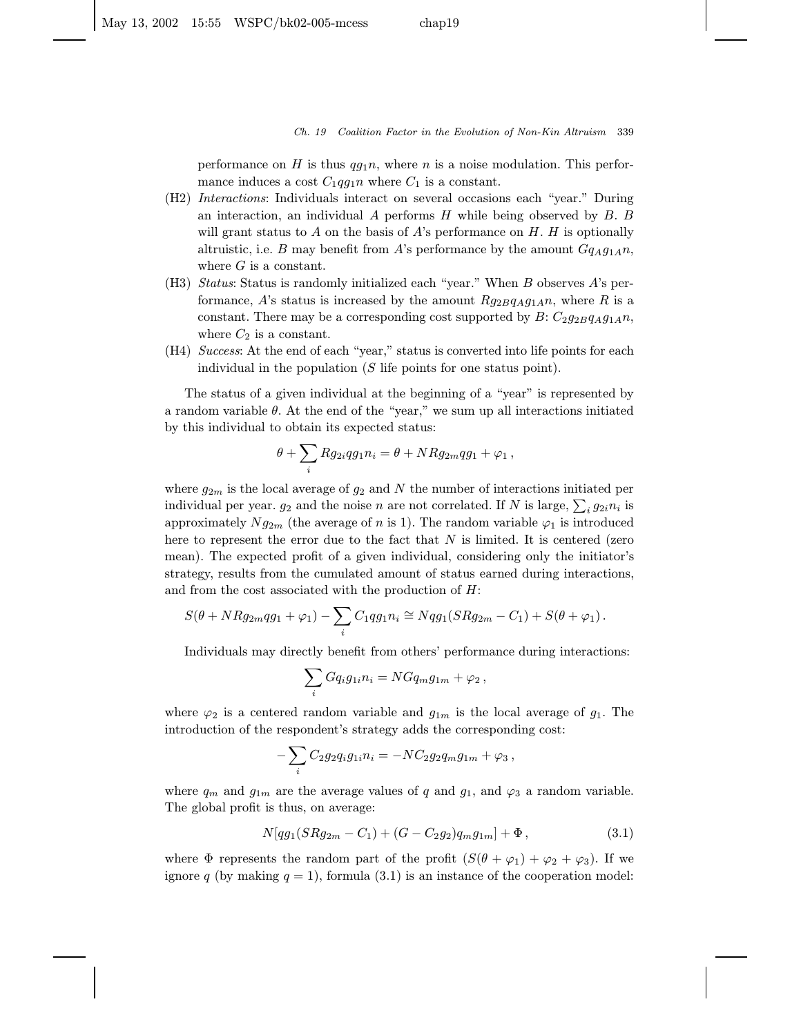performance on H is thus  $qq_1n$ , where n is a noise modulation. This performance induces a cost  $C_1qq_1n$  where  $C_1$  is a constant.

- (H2) Interactions: Individuals interact on several occasions each "year." During an interaction, an individual  $A$  performs  $H$  while being observed by  $B$ .  $B$ will grant status to A on the basis of A's performance on  $H$ . H is optionally altruistic, i.e. B may benefit from A's performance by the amount  $Gq_Ag_{1A}n$ , where  $G$  is a constant.
- (H3) Status: Status is randomly initialized each "year." When B observes A's performance, A's status is increased by the amount  $Rg_{2B}q_{A}g_{1A}n$ , where R is a constant. There may be a corresponding cost supported by  $B: C_2g_{2B}q_Ag_{1A}n$ , where  $C_2$  is a constant.
- (H4) Success: At the end of each "year," status is converted into life points for each individual in the population  $(S$  life points for one status point).

The status of a given individual at the beginning of a "year" is represented by a random variable  $\theta$ . At the end of the "year," we sum up all interactions initiated by this individual to obtain its expected status:

$$
\theta + \sum_i Rg_{2i}qq_1n_i = \theta + NRg_{2m}qq_1 + \varphi_1,
$$

where  $g_{2m}$  is the local average of  $g_2$  and N the number of interactions initiated per individual per year.  $g_2$  and the noise n are not correlated. If N is large,  $\sum_i g_{2i} n_i$  is approximately  $Ng_{2m}$  (the average of n is 1). The random variable  $\varphi_1$  is introduced here to represent the error due to the fact that  $N$  is limited. It is centered (zero mean). The expected profit of a given individual, considering only the initiator's strategy, results from the cumulated amount of status earned during interactions, and from the cost associated with the production of H:

$$
S(\theta + NRg_{2m}qq_1 + \varphi_1) - \sum_i C_1qg_1n_i \cong Nqg_1(SRg_{2m} - C_1) + S(\theta + \varphi_1).
$$

Individuals may directly benefit from others' performance during interactions:

$$
\sum_i Gq_i g_{1i} n_i = N Gq_m g_{1m} + \varphi_2 ,
$$

where  $\varphi_2$  is a centered random variable and  $g_{1m}$  is the local average of  $g_1$ . The introduction of the respondent's strategy adds the corresponding cost:

$$
-\sum_{i} C_2 g_2 q_i g_{1i} n_i = -NC_2 g_2 q_m g_{1m} + \varphi_3 ,
$$

where  $q_m$  and  $g_{1m}$  are the average values of q and  $g_1$ , and  $\varphi_3$  a random variable. The global profit is thus, on average:

$$
N[qq_1(SRg_{2m} - C_1) + (G - C_2g_2)q_mg_{1m}] + \Phi , \qquad (3.1)
$$

where  $\Phi$  represents the random part of the profit  $(S(\theta + \varphi_1) + \varphi_2 + \varphi_3)$ . If we ignore q (by making  $q = 1$ ), formula (3.1) is an instance of the cooperation model: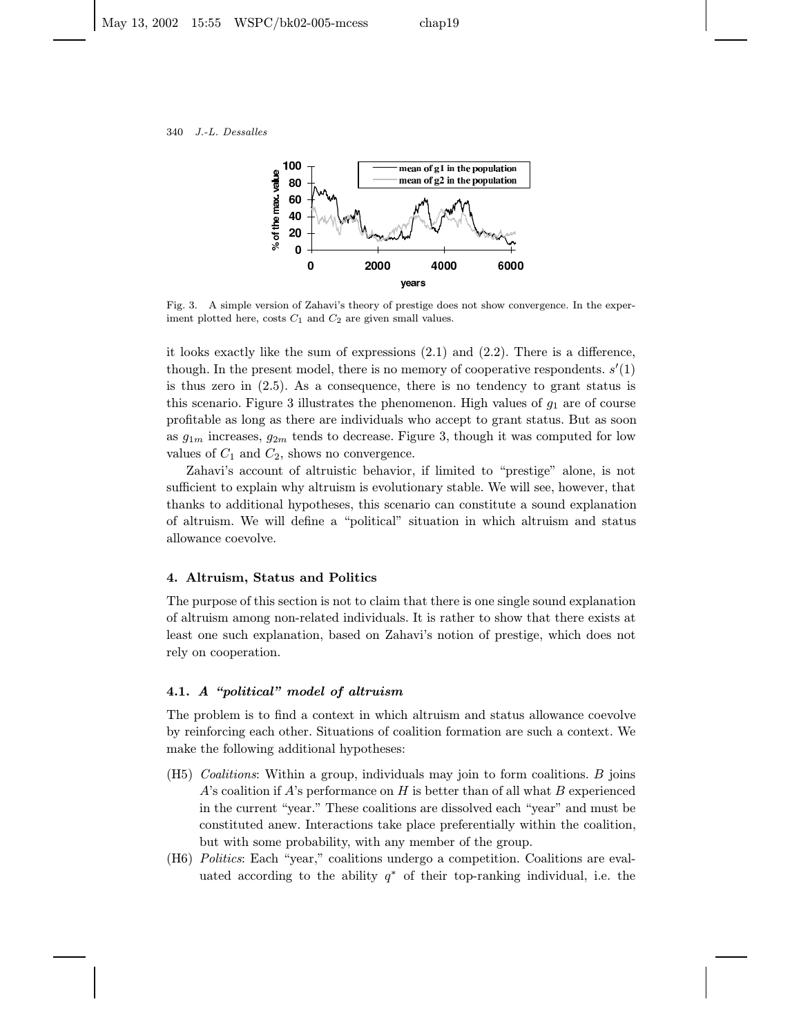

Fig. 3. A simple version of Zahavi's theory of prestige does not show convergence. In the experiment plotted here, costs  $C_1$  and  $C_2$  are given small values.

it looks exactly like the sum of expressions (2.1) and (2.2). There is a difference, though. In the present model, there is no memory of cooperative respondents.  $s'(1)$ is thus zero in (2.5). As a consequence, there is no tendency to grant status is this scenario. Figure 3 illustrates the phenomenon. High values of  $g_1$  are of course profitable as long as there are individuals who accept to grant status. But as soon as  $g_{1m}$  increases,  $g_{2m}$  tends to decrease. Figure 3, though it was computed for low values of  $C_1$  and  $C_2$ , shows no convergence.

Zahavi's account of altruistic behavior, if limited to "prestige" alone, is not sufficient to explain why altruism is evolutionary stable. We will see, however, that thanks to additional hypotheses, this scenario can constitute a sound explanation of altruism. We will define a "political" situation in which altruism and status allowance coevolve.

### 4. Altruism, Status and Politics

The purpose of this section is not to claim that there is one single sound explanation of altruism among non-related individuals. It is rather to show that there exists at least one such explanation, based on Zahavi's notion of prestige, which does not rely on cooperation.

## 4.1. A "political" model of altruism

The problem is to find a context in which altruism and status allowance coevolve by reinforcing each other. Situations of coalition formation are such a context. We make the following additional hypotheses:

- (H5) Coalitions: Within a group, individuals may join to form coalitions. B joins  $A$ 's coalition if  $A$ 's performance on  $H$  is better than of all what  $B$  experienced in the current "year." These coalitions are dissolved each "year" and must be constituted anew. Interactions take place preferentially within the coalition, but with some probability, with any member of the group.
- (H6) Politics: Each "year," coalitions undergo a competition. Coalitions are evaluated according to the ability  $q^*$  of their top-ranking individual, i.e. the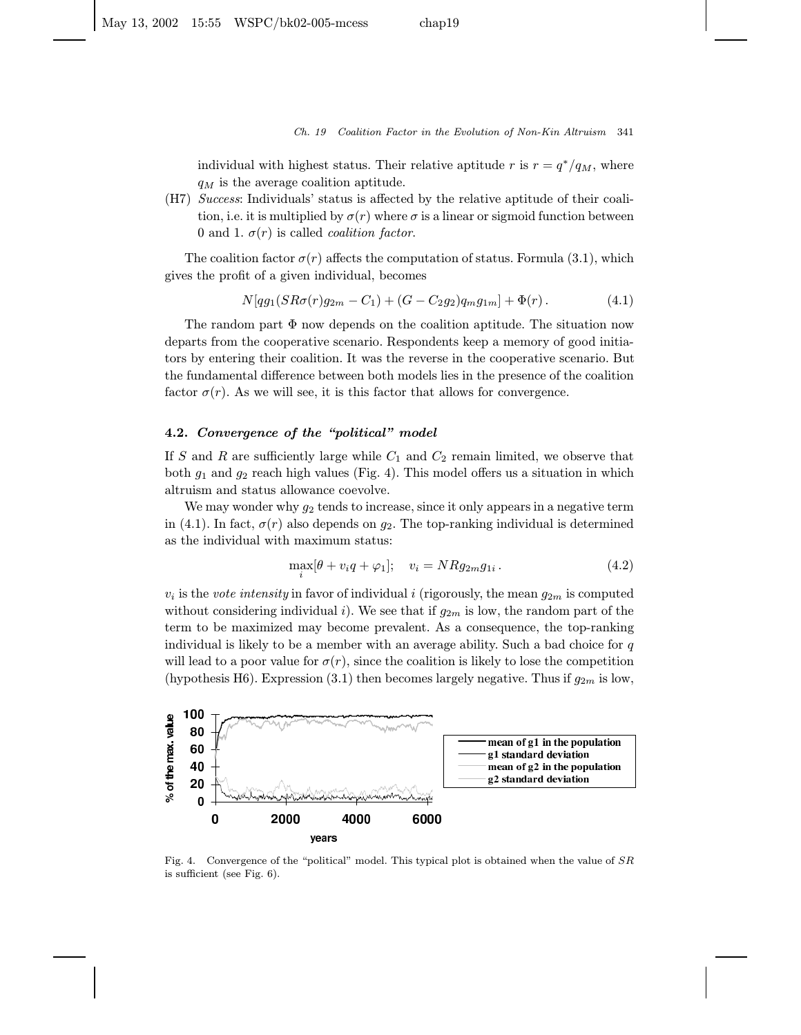individual with highest status. Their relative aptitude r is  $r = q^*/q_M$ , where  $q_M$  is the average coalition aptitude.

(H7) Success: Individuals' status is affected by the relative aptitude of their coalition, i.e. it is multiplied by  $\sigma(r)$  where  $\sigma$  is a linear or sigmoid function between 0 and 1.  $\sigma(r)$  is called *coalition factor*.

The coalition factor  $\sigma(r)$  affects the computation of status. Formula (3.1), which gives the profit of a given individual, becomes

$$
N[qq_1(SR\sigma(r)g_{2m} - C_1) + (G - C_2g_2)q_mg_{1m}] + \Phi(r).
$$
 (4.1)

The random part  $\Phi$  now depends on the coalition aptitude. The situation now departs from the cooperative scenario. Respondents keep a memory of good initiators by entering their coalition. It was the reverse in the cooperative scenario. But the fundamental difference between both models lies in the presence of the coalition factor  $\sigma(r)$ . As we will see, it is this factor that allows for convergence.

# 4.2. Convergence of the "political" model

If S and R are sufficiently large while  $C_1$  and  $C_2$  remain limited, we observe that both  $g_1$  and  $g_2$  reach high values (Fig. 4). This model offers us a situation in which altruism and status allowance coevolve.

We may wonder why  $q_2$  tends to increase, since it only appears in a negative term in (4.1). In fact,  $\sigma(r)$  also depends on  $g_2$ . The top-ranking individual is determined as the individual with maximum status:

$$
\max_{i}[\theta + v_i q + \varphi_1]; \quad v_i = NRg_{2m}g_{1i}.
$$
\n(4.2)

 $v_i$  is the vote intensity in favor of individual i (rigorously, the mean  $g_{2m}$  is computed without considering individual i). We see that if  $g_{2m}$  is low, the random part of the term to be maximized may become prevalent. As a consequence, the top-ranking individual is likely to be a member with an average ability. Such a bad choice for  $q$ will lead to a poor value for  $\sigma(r)$ , since the coalition is likely to lose the competition (hypothesis H6). Expression (3.1) then becomes largely negative. Thus if  $q_{2m}$  is low,



Fig. 4. Convergence of the "political" model. This typical plot is obtained when the value of  $SR$ is sufficient (see Fig. 6).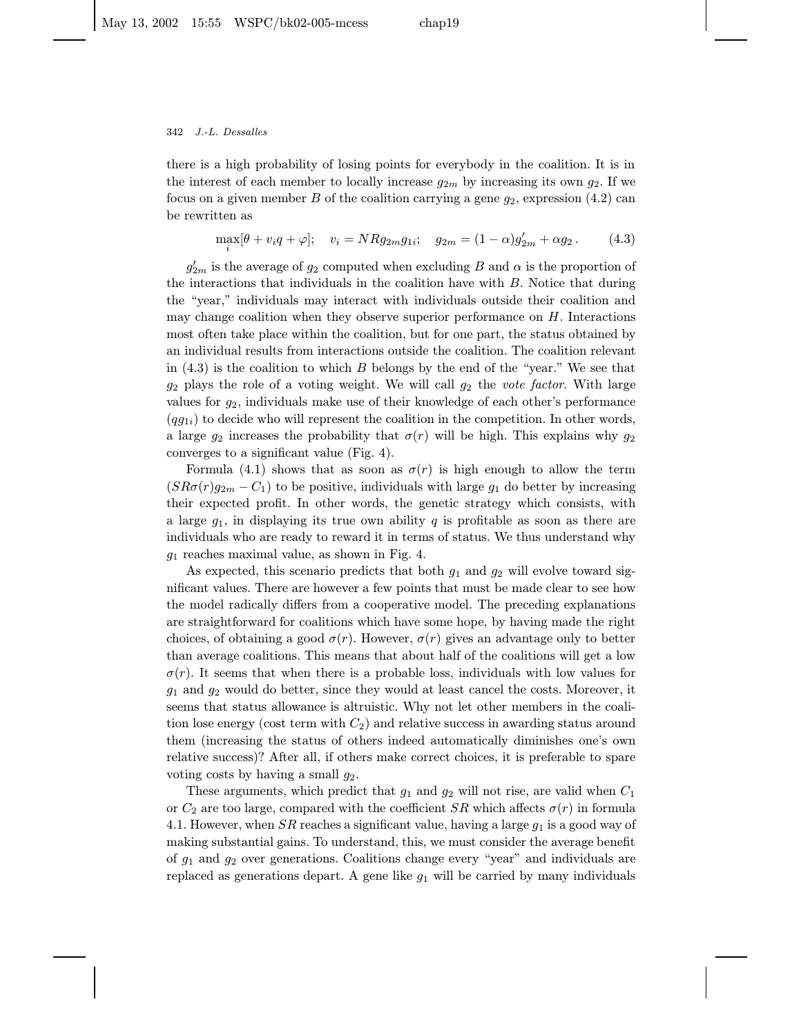there is a high probability of losing points for everybody in the coalition. It is in the interest of each member to locally increase  $q_{2m}$  by increasing its own  $q_2$ . If we focus on a given member B of the coalition carrying a gene  $g_2$ , expression  $(4.2)$  can be rewritten as

$$
\max_{i} [\theta + v_i q + \varphi]; \quad v_i = NRg_{2m}g_{1i}; \quad g_{2m} = (1 - \alpha)g'_{2m} + \alpha g_2. \tag{4.3}
$$

 $g'_{2m}$  is the average of  $g_2$  computed when excluding B and  $\alpha$  is the proportion of the interactions that individuals in the coalition have with  $B$ . Notice that during the "year," individuals may interact with individuals outside their coalition and may change coalition when they observe superior performance on  $H$ . Interactions most often take place within the coalition, but for one part, the status obtained by an individual results from interactions outside the coalition. The coalition relevant in  $(4.3)$  is the coalition to which B belongs by the end of the "year." We see that  $g_2$  plays the role of a voting weight. We will call  $g_2$  the vote factor. With large values for  $g_2$ , individuals make use of their knowledge of each other's performance  $(qg_{1i})$  to decide who will represent the coalition in the competition. In other words, a large  $g_2$  increases the probability that  $\sigma(r)$  will be high. This explains why  $g_2$ converges to a significant value (Fig. 4).

Formula (4.1) shows that as soon as  $\sigma(r)$  is high enough to allow the term  $(SR\sigma(r)g_{2m} - C_1)$  to be positive, individuals with large  $g_1$  do better by increasing their expected profit. In other words, the genetic strategy which consists, with a large  $q_1$ , in displaying its true own ability q is profitable as soon as there are individuals who are ready to reward it in terms of status. We thus understand why  $g_1$  reaches maximal value, as shown in Fig. 4.

As expected, this scenario predicts that both  $g_1$  and  $g_2$  will evolve toward significant values. There are however a few points that must be made clear to see how the model radically differs from a cooperative model. The preceding explanations are straightforward for coalitions which have some hope, by having made the right choices, of obtaining a good  $\sigma(r)$ . However,  $\sigma(r)$  gives an advantage only to better than average coalitions. This means that about half of the coalitions will get a low  $\sigma(r)$ . It seems that when there is a probable loss, individuals with low values for  $g_1$  and  $g_2$  would do better, since they would at least cancel the costs. Moreover, it seems that status allowance is altruistic. Why not let other members in the coalition lose energy (cost term with  $C_2$ ) and relative success in awarding status around them (increasing the status of others indeed automatically diminishes one's own relative success)? After all, if others make correct choices, it is preferable to spare voting costs by having a small  $q_2$ .

These arguments, which predict that  $g_1$  and  $g_2$  will not rise, are valid when  $C_1$ or  $C_2$  are too large, compared with the coefficient SR which affects  $\sigma(r)$  in formula 4.1. However, when  $SR$  reaches a significant value, having a large  $g_1$  is a good way of making substantial gains. To understand, this, we must consider the average benefit of  $g_1$  and  $g_2$  over generations. Coalitions change every "year" and individuals are replaced as generations depart. A gene like  $g_1$  will be carried by many individuals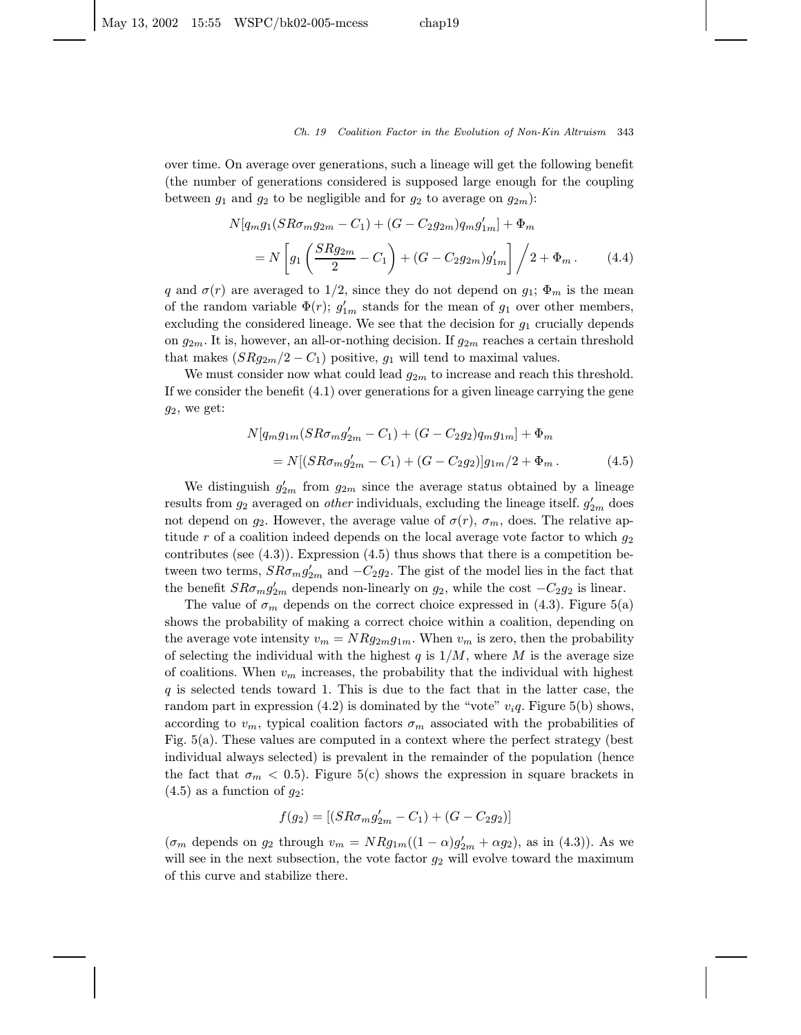over time. On average over generations, such a lineage will get the following benefit (the number of generations considered is supposed large enough for the coupling between  $g_1$  and  $g_2$  to be negligible and for  $g_2$  to average on  $g_{2m}$ ):

$$
N[q_m g_1(SR\sigma_m g_{2m} - C_1) + (G - C_2 g_{2m}) q_m g'_{1m}] + \Phi_m
$$
  
= 
$$
N \left[ g_1 \left( \frac{S R g_{2m}}{2} - C_1 \right) + (G - C_2 g_{2m}) g'_{1m} \right] / 2 + \Phi_m.
$$
 (4.4)

q and  $\sigma(r)$  are averaged to 1/2, since they do not depend on  $g_1$ ;  $\Phi_m$  is the mean of the random variable  $\Phi(r)$ ;  $g'_{1m}$  stands for the mean of  $g_1$  over other members, excluding the considered lineage. We see that the decision for  $g_1$  crucially depends on  $g_{2m}$ . It is, however, an all-or-nothing decision. If  $g_{2m}$  reaches a certain threshold that makes  $(SRg_{2m}/2 - C_1)$  positive,  $g_1$  will tend to maximal values.

We must consider now what could lead  $g_{2m}$  to increase and reach this threshold. If we consider the benefit (4.1) over generations for a given lineage carrying the gene  $g_2$ , we get:

$$
N[q_m g_{1m}(SR\sigma_m g'_{2m} - C_1) + (G - C_2 g_2) q_m g_{1m}] + \Phi_m
$$
  
= 
$$
N[(SR\sigma_m g'_{2m} - C_1) + (G - C_2 g_2)]g_{1m}/2 + \Phi_m.
$$
 (4.5)

We distinguish  $g'_{2m}$  from  $g_{2m}$  since the average status obtained by a lineage results from  $g_2$  averaged on *other* individuals, excluding the lineage itself.  $g'_{2m}$  does not depend on  $g_2$ . However, the average value of  $\sigma(r)$ ,  $\sigma_m$ , does. The relative aptitude r of a coalition indeed depends on the local average vote factor to which  $g_2$ contributes (see  $(4.3)$ ). Expression  $(4.5)$  thus shows that there is a competition between two terms,  $SR\sigma_m g'_{2m}$  and  $-C_2g_2$ . The gist of the model lies in the fact that the benefit  $SR\sigma_m g'_{2m}$  depends non-linearly on  $g_2$ , while the cost  $-C_2g_2$  is linear.

The value of  $\sigma_m$  depends on the correct choice expressed in (4.3). Figure 5(a) shows the probability of making a correct choice within a coalition, depending on the average vote intensity  $v_m = NRg_{2m}g_{1m}$ . When  $v_m$  is zero, then the probability of selecting the individual with the highest q is  $1/M$ , where M is the average size of coalitions. When  $v_m$  increases, the probability that the individual with highest  $q$  is selected tends toward 1. This is due to the fact that in the latter case, the random part in expression (4.2) is dominated by the "vote"  $v_iq$ . Figure 5(b) shows, according to  $v_m$ , typical coalition factors  $\sigma_m$  associated with the probabilities of Fig. 5(a). These values are computed in a context where the perfect strategy (best individual always selected) is prevalent in the remainder of the population (hence the fact that  $\sigma_m < 0.5$ ). Figure 5(c) shows the expression in square brackets in  $(4.5)$  as a function of  $g_2$ :

$$
f(g_2) = [(SR\sigma_m g'_{2m} - C_1) + (G - C_2 g_2)]
$$

 $(\sigma_m$  depends on  $g_2$  through  $v_m = NRg_{1m}((1-\alpha)g'_{2m} + \alpha g_2)$ , as in (4.3)). As we will see in the next subsection, the vote factor  $g_2$  will evolve toward the maximum of this curve and stabilize there.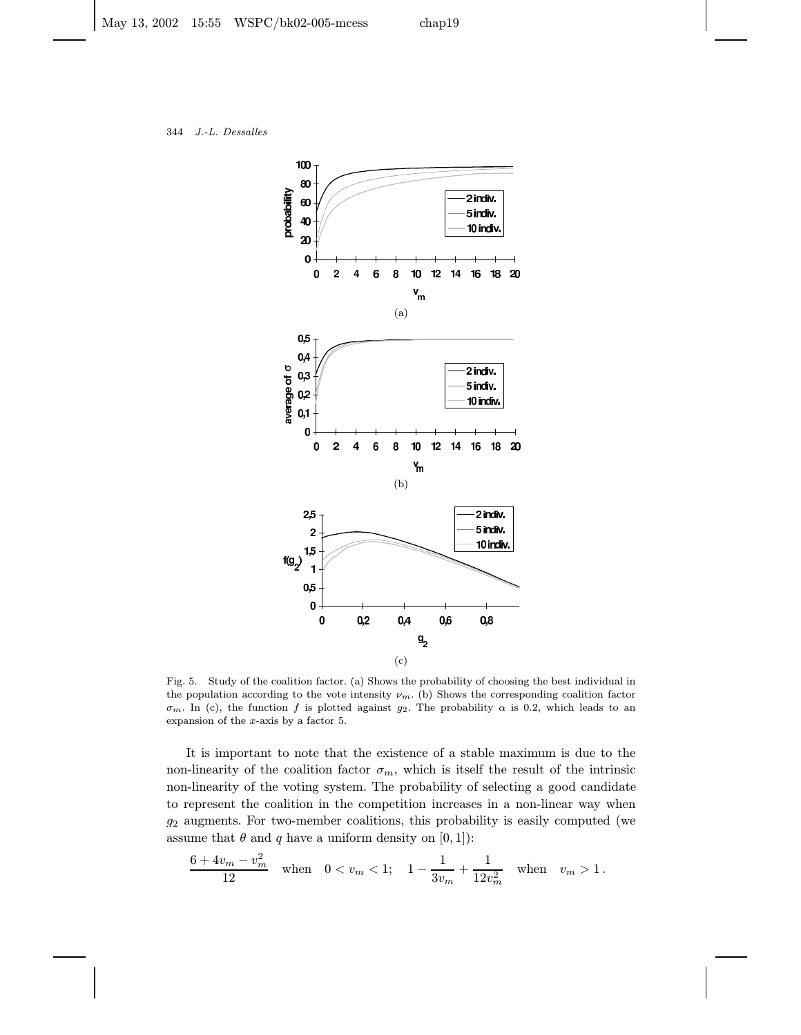

Fig. 5. Study of the coalition factor. (a) Shows the probability of choosing the best individual in the population according to the vote intensity  $\nu_m$ . (b) Shows the corresponding coalition factor  $\sigma_m$ . In (c), the function f is plotted against  $g_2$ . The probability  $\alpha$  is 0.2, which leads to an expansion of the x-axis by a factor 5.

It is important to note that the existence of a stable maximum is due to the non-linearity of the coalition factor  $\sigma_m$ , which is itself the result of the intrinsic non-linearity of the voting system. The probability of selecting a good candidate to represent the coalition in the competition increases in a non-linear way when  $g_2$  augments. For two-member coalitions, this probability is easily computed (we assume that  $\theta$  and  $q$  have a uniform density on  $[0, 1]$ :

$$
\frac{6+4v_m-v_m^2}{12}\quad \text{when}\quad 01\,.
$$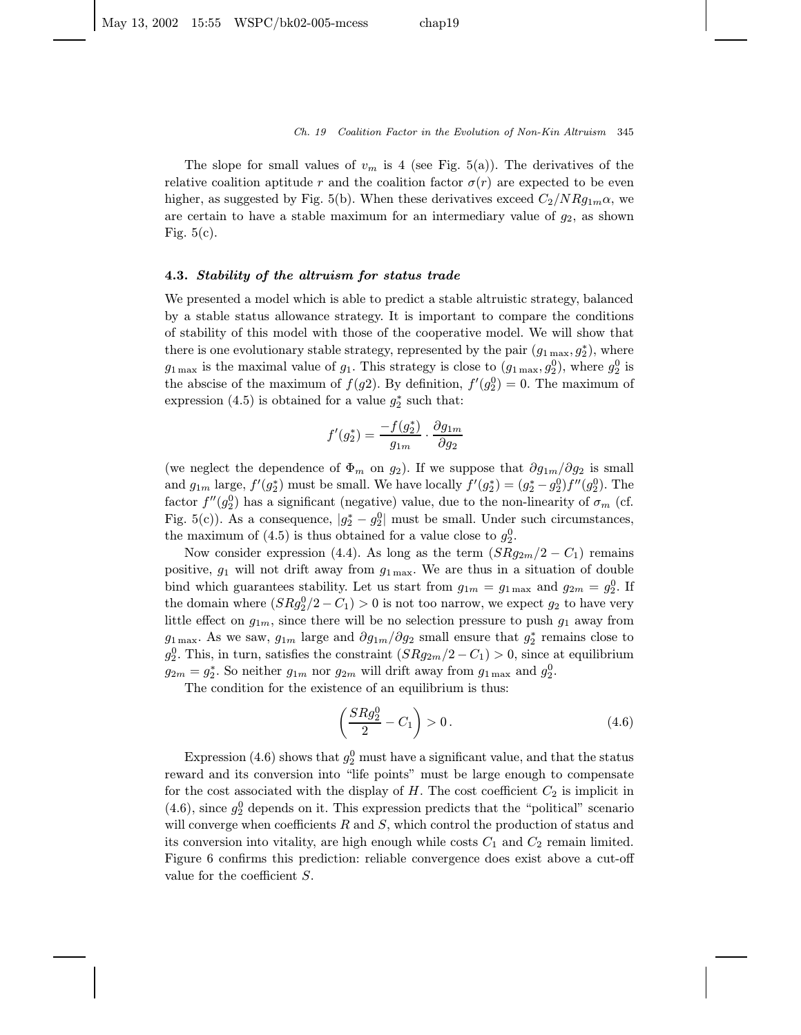The slope for small values of  $v_m$  is 4 (see Fig. 5(a)). The derivatives of the relative coalition aptitude r and the coalition factor  $\sigma(r)$  are expected to be even higher, as suggested by Fig. 5(b). When these derivatives exceed  $C_2/NRg_{1m}\alpha$ , we are certain to have a stable maximum for an intermediary value of  $g_2$ , as shown Fig.  $5(c)$ .

## 4.3. Stability of the altruism for status trade

We presented a model which is able to predict a stable altruistic strategy, balanced by a stable status allowance strategy. It is important to compare the conditions of stability of this model with those of the cooperative model. We will show that there is one evolutionary stable strategy, represented by the pair  $(g_{1\max}, g_2^*)$ , where  $g_{1\,\text{max}}$  is the maximal value of  $g_1$ . This strategy is close to  $(g_{1\,\text{max}}, g_2^0)$ , where  $g_2^0$  is the abscise of the maximum of  $f(g2)$ . By definition,  $f'(g_2^0) = 0$ . The maximum of expression (4.5) is obtained for a value  $g_2^*$  such that:

$$
f'(g_2^*) = \frac{-f(g_2^*)}{g_{1m}} \cdot \frac{\partial g_{1m}}{\partial g_2}
$$

(we neglect the dependence of  $\Phi_m$  on  $g_2$ ). If we suppose that  $\partial g_{1m}/\partial g_2$  is small and  $g_{1m}$  large,  $f'(g_2^*)$  must be small. We have locally  $f'(g_2^*) = (g_2^* - g_2^0) f''(g_2^0)$ . The factor  $f''(g_2^0)$  has a significant (negative) value, due to the non-linearity of  $\sigma_m$  (cf. Fig. 5(c)). As a consequence,  $|g_2^* - g_2^0|$  must be small. Under such circumstances, the maximum of (4.5) is thus obtained for a value close to  $g_2^0$ .

Now consider expression (4.4). As long as the term  $(SRg_{2m}/2 - C_1)$  remains positive,  $g_1$  will not drift away from  $g_{1\,\text{max}}$ . We are thus in a situation of double bind which guarantees stability. Let us start from  $g_{1m} = g_{1\,\text{max}}$  and  $g_{2m} = g_2^0$ . If the domain where  $(SRg_2^0/2 - C_1) > 0$  is not too narrow, we expect  $g_2$  to have very little effect on  $g_{1m}$ , since there will be no selection pressure to push  $g_1$  away from  $g_{1\,\text{max}}$ . As we saw,  $g_{1m}$  large and  $\partial g_{1m}/\partial g_2$  small ensure that  $g_2^*$  remains close to  $g_2^0$ . This, in turn, satisfies the constraint  $(SRg_{2m}/2 - C_1) > 0$ , since at equilibrium  $g_{2m} = g_2^*$ . So neither  $g_{1m}$  nor  $g_{2m}$  will drift away from  $g_{1\,\text{max}}$  and  $g_2^0$ .

The condition for the existence of an equilibrium is thus:

$$
\left(\frac{SRg_2^0}{2} - C_1\right) > 0.\tag{4.6}
$$

Expression (4.6) shows that  $g_2^0$  must have a significant value, and that the status reward and its conversion into "life points" must be large enough to compensate for the cost associated with the display of  $H$ . The cost coefficient  $C_2$  is implicit in  $(4.6)$ , since  $g_2^0$  depends on it. This expression predicts that the "political" scenario will converge when coefficients  $R$  and  $S$ , which control the production of status and its conversion into vitality, are high enough while costs  $C_1$  and  $C_2$  remain limited. Figure 6 confirms this prediction: reliable convergence does exist above a cut-off value for the coefficient S.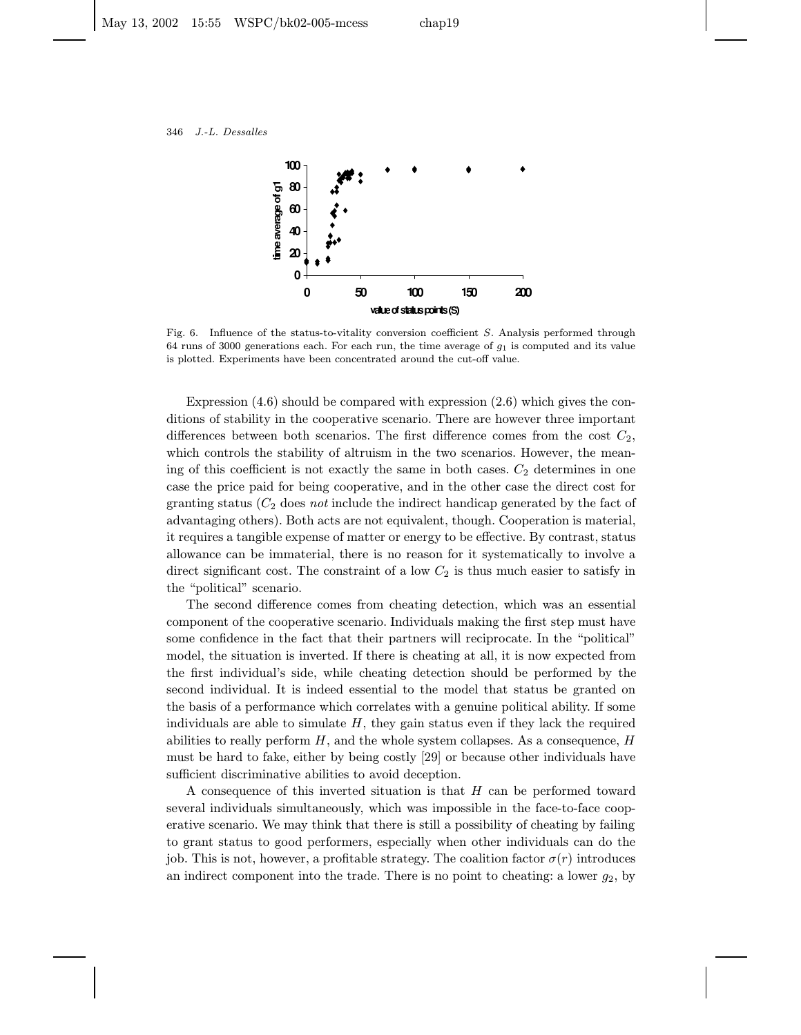

Fig. 6. Influence of the status-to-vitality conversion coefficient S. Analysis performed through 64 runs of 3000 generations each. For each run, the time average of  $g_1$  is computed and its value is plotted. Experiments have been concentrated around the cut-off value.

Expression  $(4.6)$  should be compared with expression  $(2.6)$  which gives the conditions of stability in the cooperative scenario. There are however three important differences between both scenarios. The first difference comes from the cost  $C_2$ , which controls the stability of altruism in the two scenarios. However, the meaning of this coefficient is not exactly the same in both cases.  $C_2$  determines in one case the price paid for being cooperative, and in the other case the direct cost for granting status  $(C_2$  does not include the indirect handicap generated by the fact of advantaging others). Both acts are not equivalent, though. Cooperation is material, it requires a tangible expense of matter or energy to be effective. By contrast, status allowance can be immaterial, there is no reason for it systematically to involve a direct significant cost. The constraint of a low  $C_2$  is thus much easier to satisfy in the "political" scenario.

The second difference comes from cheating detection, which was an essential component of the cooperative scenario. Individuals making the first step must have some confidence in the fact that their partners will reciprocate. In the "political" model, the situation is inverted. If there is cheating at all, it is now expected from the first individual's side, while cheating detection should be performed by the second individual. It is indeed essential to the model that status be granted on the basis of a performance which correlates with a genuine political ability. If some individuals are able to simulate  $H$ , they gain status even if they lack the required abilities to really perform  $H$ , and the whole system collapses. As a consequence,  $H$ must be hard to fake, either by being costly [29] or because other individuals have sufficient discriminative abilities to avoid deception.

A consequence of this inverted situation is that H can be performed toward several individuals simultaneously, which was impossible in the face-to-face cooperative scenario. We may think that there is still a possibility of cheating by failing to grant status to good performers, especially when other individuals can do the job. This is not, however, a profitable strategy. The coalition factor  $\sigma(r)$  introduces an indirect component into the trade. There is no point to cheating: a lower  $g_2$ , by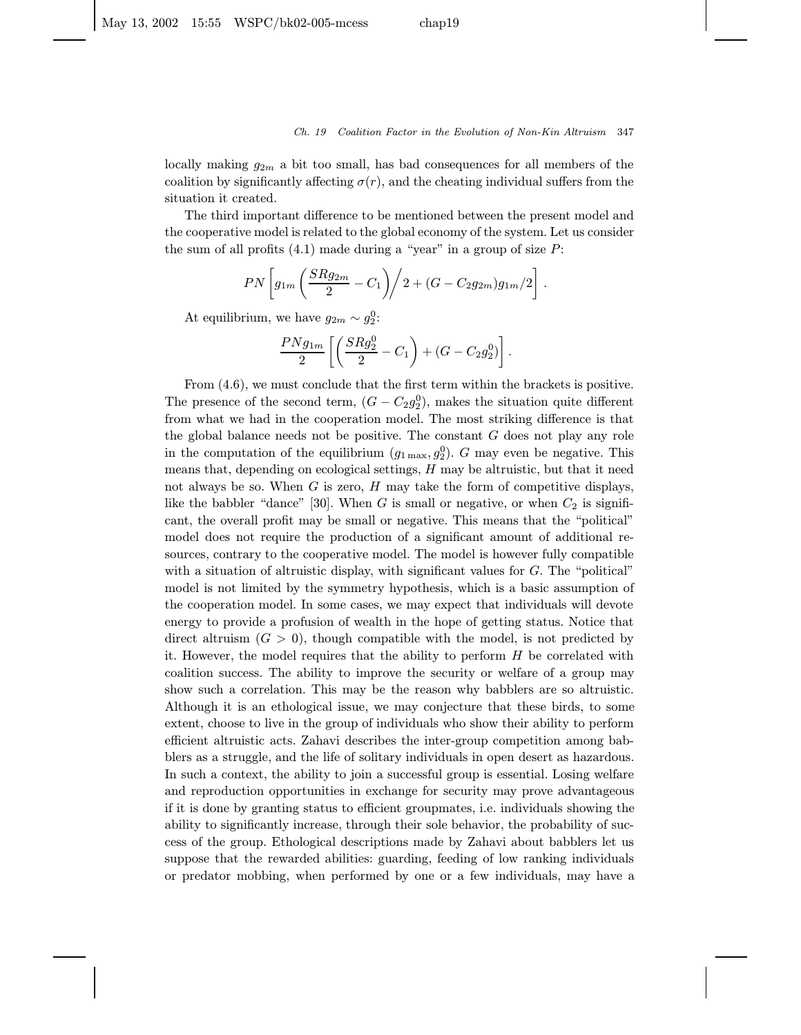locally making  $g_{2m}$  a bit too small, has bad consequences for all members of the coalition by significantly affecting  $\sigma(r)$ , and the cheating individual suffers from the situation it created.

The third important difference to be mentioned between the present model and the cooperative model is related to the global economy of the system. Let us consider the sum of all profits  $(4.1)$  made during a "year" in a group of size  $P$ :

$$
PN\left[g_{1m}\left(\frac{SRg_{2m}}{2}-C_1\right)\middle/2+(G-C_2g_{2m})g_{1m}/2\right].
$$

At equilibrium, we have  $g_{2m} \sim g_2^0$ :

$$
\frac{PNg_{1m}}{2}\left[\left(\frac{SRg_2^0}{2} - C_1\right) + (G - C_2g_2^0)\right].
$$

From (4.6), we must conclude that the first term within the brackets is positive. The presence of the second term,  $(G - C_2g_2^0)$ , makes the situation quite different from what we had in the cooperation model. The most striking difference is that the global balance needs not be positive. The constant  $G$  does not play any role in the computation of the equilibrium  $(g_{1\max}, g_2^0)$ . G may even be negative. This means that, depending on ecological settings,  $H$  may be altruistic, but that it need not always be so. When  $G$  is zero,  $H$  may take the form of competitive displays, like the babbler "dance" [30]. When G is small or negative, or when  $C_2$  is significant, the overall profit may be small or negative. This means that the "political" model does not require the production of a significant amount of additional resources, contrary to the cooperative model. The model is however fully compatible with a situation of altruistic display, with significant values for G. The "political" model is not limited by the symmetry hypothesis, which is a basic assumption of the cooperation model. In some cases, we may expect that individuals will devote energy to provide a profusion of wealth in the hope of getting status. Notice that direct altruism  $(G > 0)$ , though compatible with the model, is not predicted by it. However, the model requires that the ability to perform  $H$  be correlated with coalition success. The ability to improve the security or welfare of a group may show such a correlation. This may be the reason why babblers are so altruistic. Although it is an ethological issue, we may conjecture that these birds, to some extent, choose to live in the group of individuals who show their ability to perform efficient altruistic acts. Zahavi describes the inter-group competition among babblers as a struggle, and the life of solitary individuals in open desert as hazardous. In such a context, the ability to join a successful group is essential. Losing welfare and reproduction opportunities in exchange for security may prove advantageous if it is done by granting status to efficient groupmates, i.e. individuals showing the ability to significantly increase, through their sole behavior, the probability of success of the group. Ethological descriptions made by Zahavi about babblers let us suppose that the rewarded abilities: guarding, feeding of low ranking individuals or predator mobbing, when performed by one or a few individuals, may have a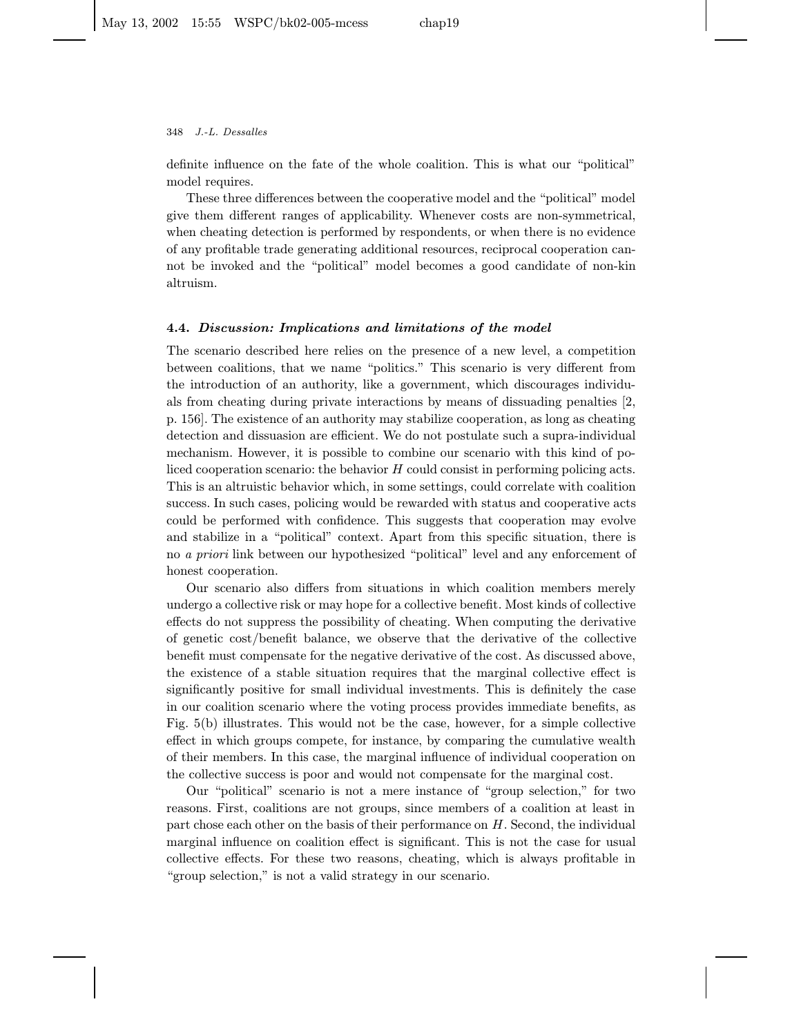definite influence on the fate of the whole coalition. This is what our "political" model requires.

These three differences between the cooperative model and the "political" model give them different ranges of applicability. Whenever costs are non-symmetrical, when cheating detection is performed by respondents, or when there is no evidence of any profitable trade generating additional resources, reciprocal cooperation cannot be invoked and the "political" model becomes a good candidate of non-kin altruism.

### 4.4. Discussion: Implications and limitations of the model

The scenario described here relies on the presence of a new level, a competition between coalitions, that we name "politics." This scenario is very different from the introduction of an authority, like a government, which discourages individuals from cheating during private interactions by means of dissuading penalties [2, p. 156]. The existence of an authority may stabilize cooperation, as long as cheating detection and dissuasion are efficient. We do not postulate such a supra-individual mechanism. However, it is possible to combine our scenario with this kind of policed cooperation scenario: the behavior H could consist in performing policing acts. This is an altruistic behavior which, in some settings, could correlate with coalition success. In such cases, policing would be rewarded with status and cooperative acts could be performed with confidence. This suggests that cooperation may evolve and stabilize in a "political" context. Apart from this specific situation, there is no a priori link between our hypothesized "political" level and any enforcement of honest cooperation.

Our scenario also differs from situations in which coalition members merely undergo a collective risk or may hope for a collective benefit. Most kinds of collective effects do not suppress the possibility of cheating. When computing the derivative of genetic cost/benefit balance, we observe that the derivative of the collective benefit must compensate for the negative derivative of the cost. As discussed above, the existence of a stable situation requires that the marginal collective effect is significantly positive for small individual investments. This is definitely the case in our coalition scenario where the voting process provides immediate benefits, as Fig. 5(b) illustrates. This would not be the case, however, for a simple collective effect in which groups compete, for instance, by comparing the cumulative wealth of their members. In this case, the marginal influence of individual cooperation on the collective success is poor and would not compensate for the marginal cost.

Our "political" scenario is not a mere instance of "group selection," for two reasons. First, coalitions are not groups, since members of a coalition at least in part chose each other on the basis of their performance on H. Second, the individual marginal influence on coalition effect is significant. This is not the case for usual collective effects. For these two reasons, cheating, which is always profitable in "group selection," is not a valid strategy in our scenario.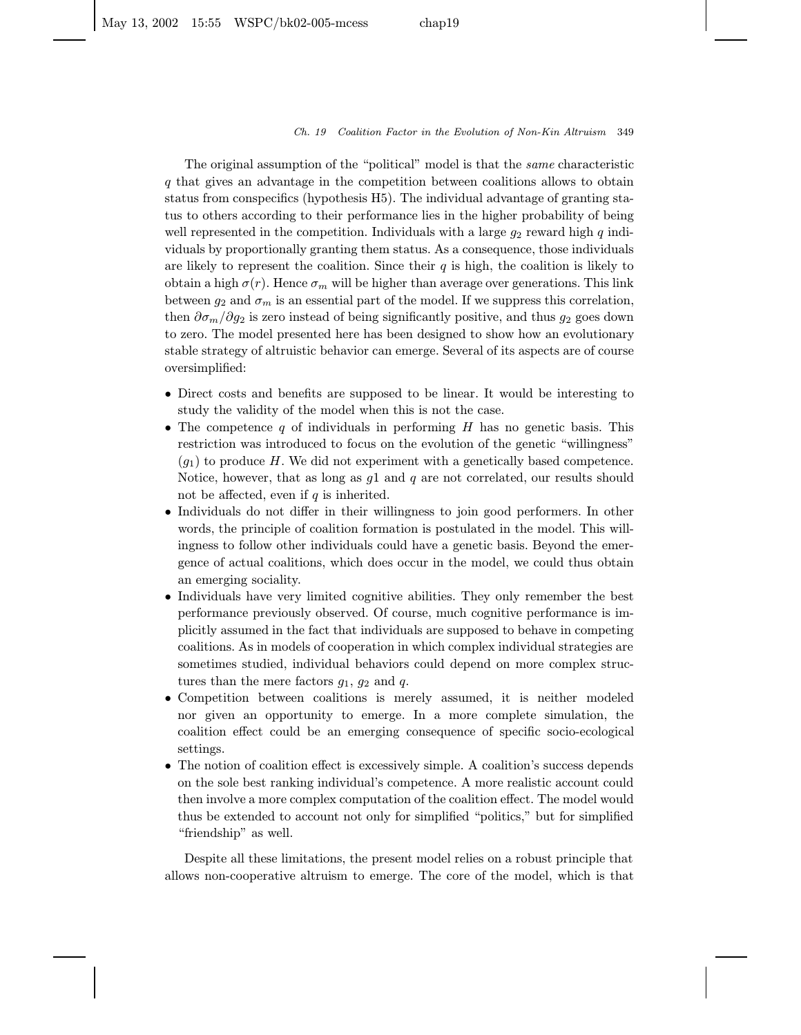The original assumption of the "political" model is that the same characteristic q that gives an advantage in the competition between coalitions allows to obtain status from conspecifics (hypothesis H5). The individual advantage of granting status to others according to their performance lies in the higher probability of being well represented in the competition. Individuals with a large  $q_2$  reward high q individuals by proportionally granting them status. As a consequence, those individuals are likely to represent the coalition. Since their  $q$  is high, the coalition is likely to obtain a high  $\sigma(r)$ . Hence  $\sigma_m$  will be higher than average over generations. This link between  $g_2$  and  $\sigma_m$  is an essential part of the model. If we suppress this correlation, then  $\partial \sigma_m / \partial g_2$  is zero instead of being significantly positive, and thus  $g_2$  goes down to zero. The model presented here has been designed to show how an evolutionary stable strategy of altruistic behavior can emerge. Several of its aspects are of course oversimplified:

- Direct costs and benefits are supposed to be linear. It would be interesting to study the validity of the model when this is not the case.
- The competence q of individuals in performing  $H$  has no genetic basis. This restriction was introduced to focus on the evolution of the genetic "willingness"  $(g_1)$  to produce H. We did not experiment with a genetically based competence. Notice, however, that as long as  $q1$  and  $q$  are not correlated, our results should not be affected, even if  $q$  is inherited.
- Individuals do not differ in their willingness to join good performers. In other words, the principle of coalition formation is postulated in the model. This willingness to follow other individuals could have a genetic basis. Beyond the emergence of actual coalitions, which does occur in the model, we could thus obtain an emerging sociality.
- Individuals have very limited cognitive abilities. They only remember the best performance previously observed. Of course, much cognitive performance is implicitly assumed in the fact that individuals are supposed to behave in competing coalitions. As in models of cooperation in which complex individual strategies are sometimes studied, individual behaviors could depend on more complex structures than the mere factors  $g_1$ ,  $g_2$  and  $q$ .
- Competition between coalitions is merely assumed, it is neither modeled nor given an opportunity to emerge. In a more complete simulation, the coalition effect could be an emerging consequence of specific socio-ecological settings.
- The notion of coalition effect is excessively simple. A coalition's success depends on the sole best ranking individual's competence. A more realistic account could then involve a more complex computation of the coalition effect. The model would thus be extended to account not only for simplified "politics," but for simplified "friendship" as well.

Despite all these limitations, the present model relies on a robust principle that allows non-cooperative altruism to emerge. The core of the model, which is that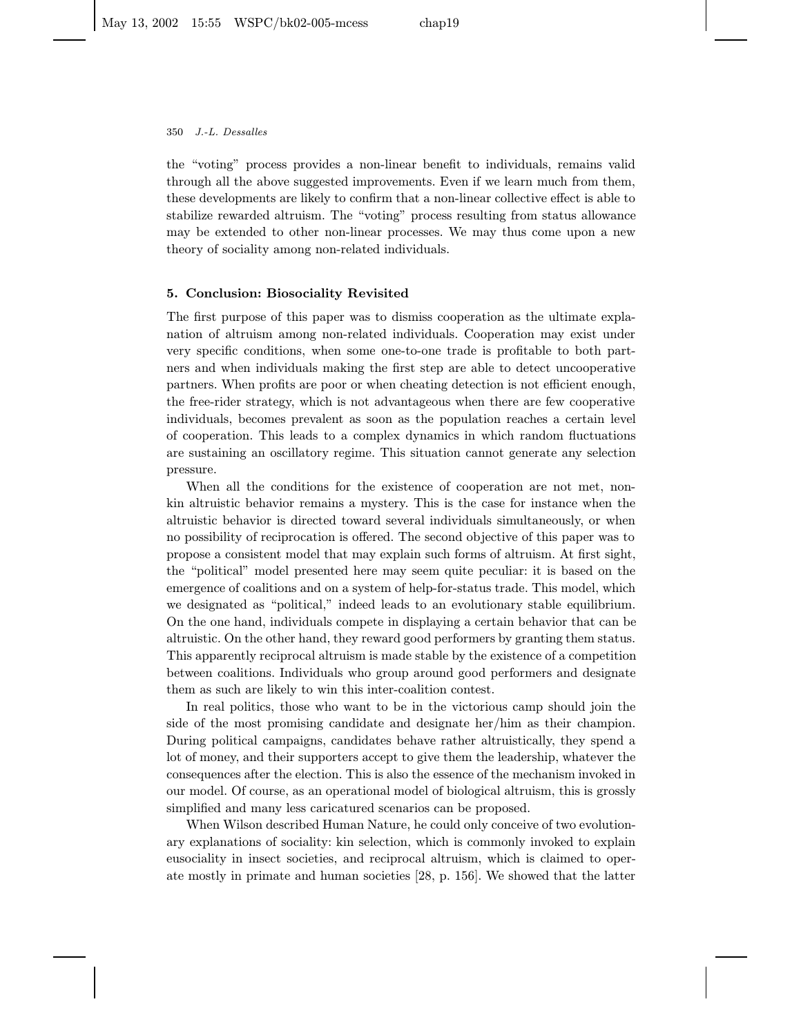the "voting" process provides a non-linear benefit to individuals, remains valid through all the above suggested improvements. Even if we learn much from them, these developments are likely to confirm that a non-linear collective effect is able to stabilize rewarded altruism. The "voting" process resulting from status allowance may be extended to other non-linear processes. We may thus come upon a new theory of sociality among non-related individuals.

## 5. Conclusion: Biosociality Revisited

The first purpose of this paper was to dismiss cooperation as the ultimate explanation of altruism among non-related individuals. Cooperation may exist under very specific conditions, when some one-to-one trade is profitable to both partners and when individuals making the first step are able to detect uncooperative partners. When profits are poor or when cheating detection is not efficient enough, the free-rider strategy, which is not advantageous when there are few cooperative individuals, becomes prevalent as soon as the population reaches a certain level of cooperation. This leads to a complex dynamics in which random fluctuations are sustaining an oscillatory regime. This situation cannot generate any selection pressure.

When all the conditions for the existence of cooperation are not met, nonkin altruistic behavior remains a mystery. This is the case for instance when the altruistic behavior is directed toward several individuals simultaneously, or when no possibility of reciprocation is offered. The second objective of this paper was to propose a consistent model that may explain such forms of altruism. At first sight, the "political" model presented here may seem quite peculiar: it is based on the emergence of coalitions and on a system of help-for-status trade. This model, which we designated as "political," indeed leads to an evolutionary stable equilibrium. On the one hand, individuals compete in displaying a certain behavior that can be altruistic. On the other hand, they reward good performers by granting them status. This apparently reciprocal altruism is made stable by the existence of a competition between coalitions. Individuals who group around good performers and designate them as such are likely to win this inter-coalition contest.

In real politics, those who want to be in the victorious camp should join the side of the most promising candidate and designate her/him as their champion. During political campaigns, candidates behave rather altruistically, they spend a lot of money, and their supporters accept to give them the leadership, whatever the consequences after the election. This is also the essence of the mechanism invoked in our model. Of course, as an operational model of biological altruism, this is grossly simplified and many less caricatured scenarios can be proposed.

When Wilson described Human Nature, he could only conceive of two evolutionary explanations of sociality: kin selection, which is commonly invoked to explain eusociality in insect societies, and reciprocal altruism, which is claimed to operate mostly in primate and human societies [28, p. 156]. We showed that the latter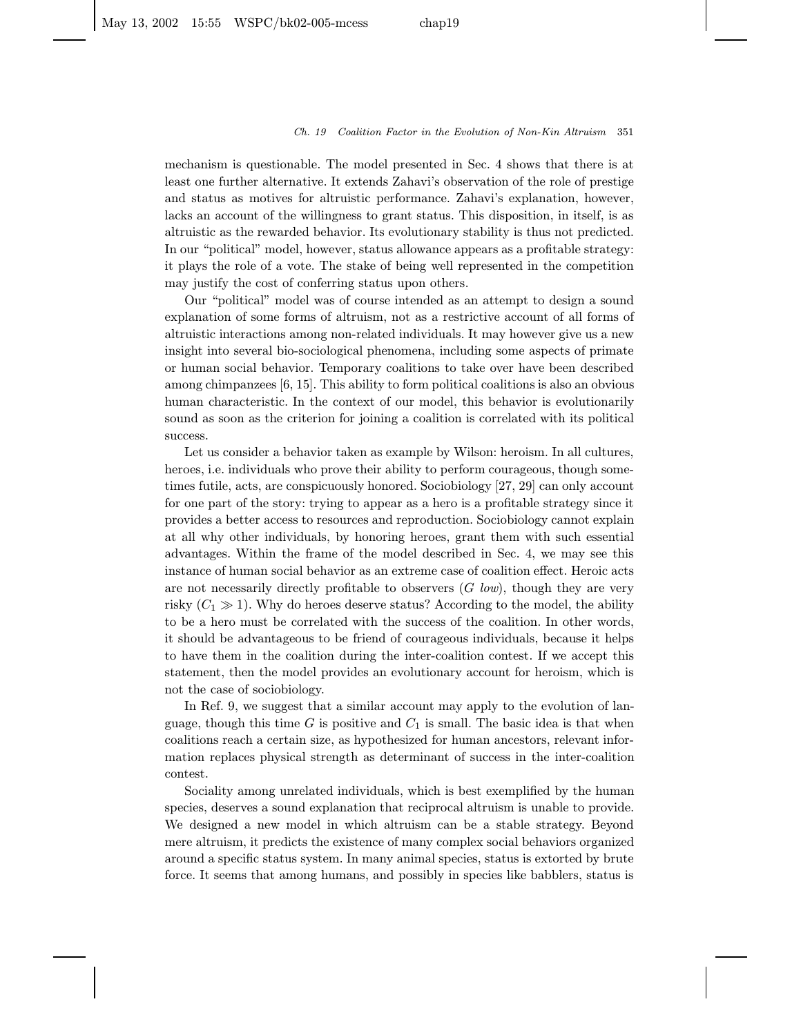mechanism is questionable. The model presented in Sec. 4 shows that there is at least one further alternative. It extends Zahavi's observation of the role of prestige and status as motives for altruistic performance. Zahavi's explanation, however, lacks an account of the willingness to grant status. This disposition, in itself, is as altruistic as the rewarded behavior. Its evolutionary stability is thus not predicted. In our "political" model, however, status allowance appears as a profitable strategy: it plays the role of a vote. The stake of being well represented in the competition may justify the cost of conferring status upon others.

Our "political" model was of course intended as an attempt to design a sound explanation of some forms of altruism, not as a restrictive account of all forms of altruistic interactions among non-related individuals. It may however give us a new insight into several bio-sociological phenomena, including some aspects of primate or human social behavior. Temporary coalitions to take over have been described among chimpanzees [6, 15]. This ability to form political coalitions is also an obvious human characteristic. In the context of our model, this behavior is evolutionarily sound as soon as the criterion for joining a coalition is correlated with its political success.

Let us consider a behavior taken as example by Wilson: heroism. In all cultures, heroes, i.e. individuals who prove their ability to perform courageous, though sometimes futile, acts, are conspicuously honored. Sociobiology [27, 29] can only account for one part of the story: trying to appear as a hero is a profitable strategy since it provides a better access to resources and reproduction. Sociobiology cannot explain at all why other individuals, by honoring heroes, grant them with such essential advantages. Within the frame of the model described in Sec. 4, we may see this instance of human social behavior as an extreme case of coalition effect. Heroic acts are not necessarily directly profitable to observers  $(G \; low)$ , though they are very risky  $(C_1 \gg 1)$ . Why do heroes deserve status? According to the model, the ability to be a hero must be correlated with the success of the coalition. In other words, it should be advantageous to be friend of courageous individuals, because it helps to have them in the coalition during the inter-coalition contest. If we accept this statement, then the model provides an evolutionary account for heroism, which is not the case of sociobiology.

In Ref. 9, we suggest that a similar account may apply to the evolution of language, though this time G is positive and  $C_1$  is small. The basic idea is that when coalitions reach a certain size, as hypothesized for human ancestors, relevant information replaces physical strength as determinant of success in the inter-coalition contest.

Sociality among unrelated individuals, which is best exemplified by the human species, deserves a sound explanation that reciprocal altruism is unable to provide. We designed a new model in which altruism can be a stable strategy. Beyond mere altruism, it predicts the existence of many complex social behaviors organized around a specific status system. In many animal species, status is extorted by brute force. It seems that among humans, and possibly in species like babblers, status is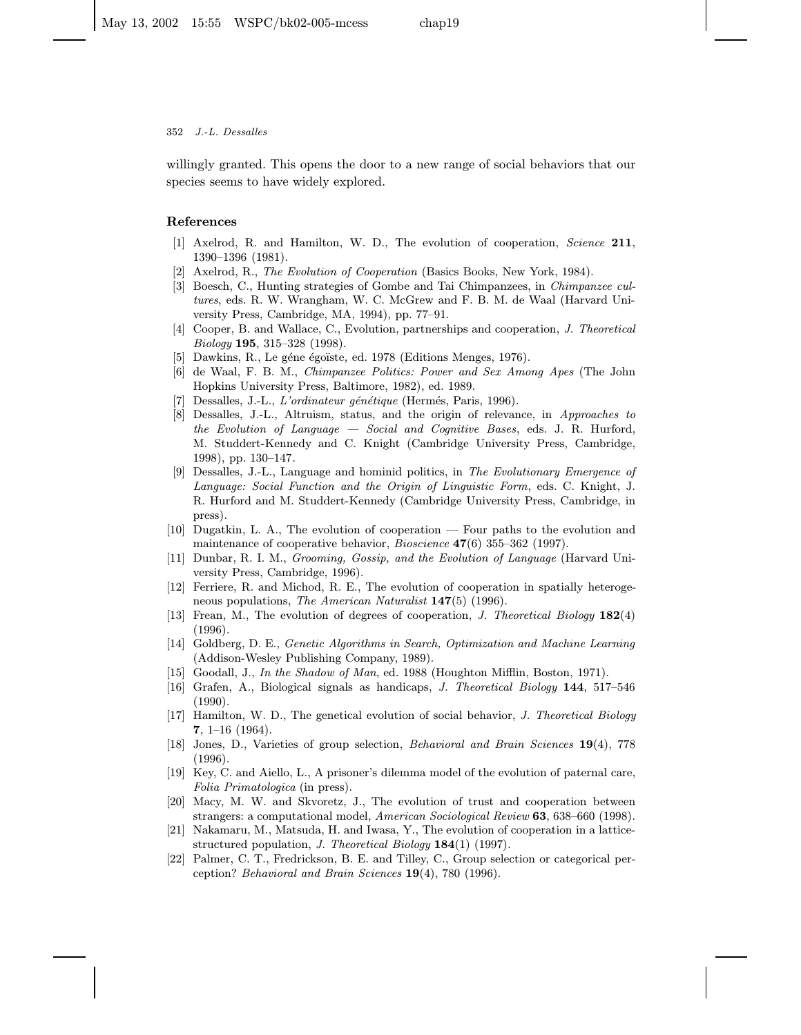willingly granted. This opens the door to a new range of social behaviors that our species seems to have widely explored.

### References

- [1] Axelrod, R. and Hamilton, W. D., The evolution of cooperation, Science 211, 1390–1396 (1981).
- Axelrod, R., The Evolution of Cooperation (Basics Books, New York, 1984).
- [3] Boesch, C., Hunting strategies of Gombe and Tai Chimpanzees, in Chimpanzee cultures, eds. R. W. Wrangham, W. C. McGrew and F. B. M. de Waal (Harvard University Press, Cambridge, MA, 1994), pp. 77–91.
- [4] Cooper, B. and Wallace, C., Evolution, partnerships and cooperation, J. Theoretical Biology 195, 315–328 (1998).
- Dawkins, R., Le géne égoïste, ed. 1978 (Editions Menges, 1976).
- [6] de Waal, F. B. M., Chimpanzee Politics: Power and Sex Among Apes (The John Hopkins University Press, Baltimore, 1982), ed. 1989.
- [7] Dessalles, J.-L., L'ordinateur génétique (Hermés, Paris, 1996).
- [8] Dessalles, J.-L., Altruism, status, and the origin of relevance, in Approaches to the Evolution of Language — Social and Cognitive Bases, eds. J. R. Hurford, M. Studdert-Kennedy and C. Knight (Cambridge University Press, Cambridge, 1998), pp. 130–147.
- [9] Dessalles, J.-L., Language and hominid politics, in The Evolutionary Emergence of Language: Social Function and the Origin of Linguistic Form, eds. C. Knight, J. R. Hurford and M. Studdert-Kennedy (Cambridge University Press, Cambridge, in press).
- [10] Dugatkin, L. A., The evolution of cooperation Four paths to the evolution and maintenance of cooperative behavior, *Bioscience* 47(6) 355–362 (1997).
- [11] Dunbar, R. I. M., Grooming, Gossip, and the Evolution of Language (Harvard University Press, Cambridge, 1996).
- [12] Ferriere, R. and Michod, R. E., The evolution of cooperation in spatially heterogeneous populations, The American Naturalist 147(5) (1996).
- [13] Frean, M., The evolution of degrees of cooperation, J. Theoretical Biology 182(4) (1996).
- [14] Goldberg, D. E., Genetic Algorithms in Search, Optimization and Machine Learning (Addison-Wesley Publishing Company, 1989).
- [15] Goodall, J., In the Shadow of Man, ed. 1988 (Houghton Mifflin, Boston, 1971).
- [16] Grafen, A., Biological signals as handicaps, J. Theoretical Biology 144, 517–546 (1990).
- [17] Hamilton, W. D., The genetical evolution of social behavior, J. Theoretical Biology 7, 1–16 (1964).
- [18] Jones, D., Varieties of group selection, Behavioral and Brain Sciences 19(4), 778  $(1996)$ .
- [19] Key, C. and Aiello, L., A prisoner's dilemma model of the evolution of paternal care, Folia Primatologica (in press).
- [20] Macy, M. W. and Skvoretz, J., The evolution of trust and cooperation between strangers: a computational model, American Sociological Review 63, 638–660 (1998).
- [21] Nakamaru, M., Matsuda, H. and Iwasa, Y., The evolution of cooperation in a latticestructured population, *J. Theoretical Biology* **184**(1) (1997).
- [22] Palmer, C. T., Fredrickson, B. E. and Tilley, C., Group selection or categorical perception? Behavioral and Brain Sciences 19(4), 780 (1996).